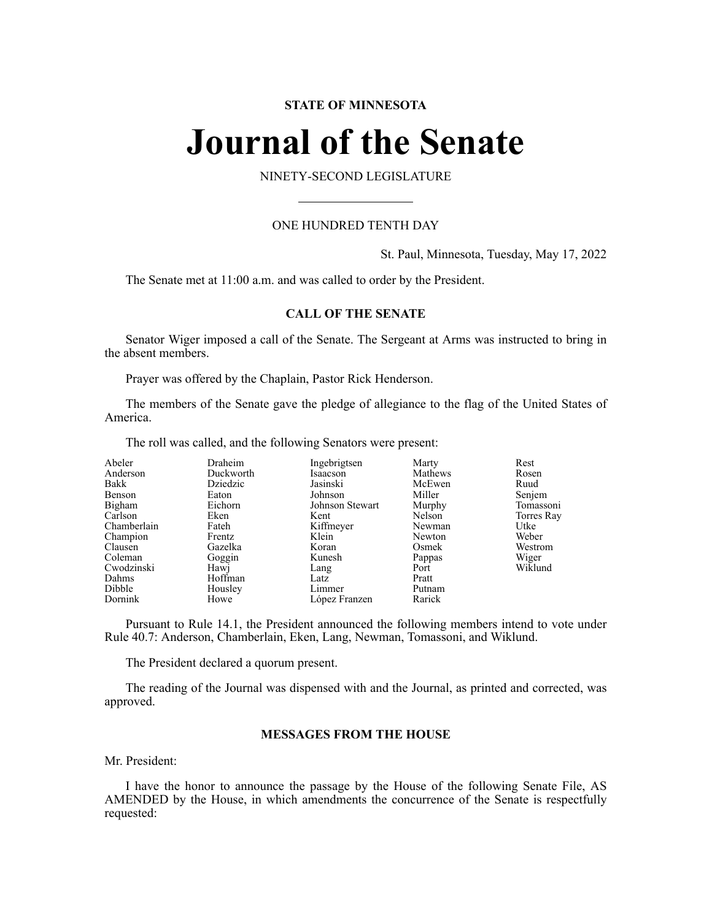# **STATE OF MINNESOTA**

# **Journal of the Senate**

NINETY-SECOND LEGISLATURE

# ONE HUNDRED TENTH DAY

St. Paul, Minnesota, Tuesday, May 17, 2022

The Senate met at 11:00 a.m. and was called to order by the President.

# **CALL OF THE SENATE**

Senator Wiger imposed a call of the Senate. The Sergeant at Arms was instructed to bring in the absent members.

Prayer was offered by the Chaplain, Pastor Rick Henderson.

The members of the Senate gave the pledge of allegiance to the flag of the United States of America.

The roll was called, and the following Senators were present:

| Abeler      | Draheim   | Ingebrigtsen    | Marty   | Rest       |
|-------------|-----------|-----------------|---------|------------|
| Anderson    | Duckworth | Isaacson        | Mathews | Rosen      |
| Bakk        | Dziedzic  | Jasinski        | McEwen  | Ruud       |
| Benson      | Eaton     | Johnson         | Miller  | Senjem     |
| Bigham      | Eichorn   | Johnson Stewart | Murphy  | Tomassoni  |
| Carlson     | Eken      | Kent            | Nelson  | Torres Ray |
| Chamberlain | Fateh     | Kiffmeyer       | Newman  | Utke       |
| Champion    | Frentz    | Klein           | Newton  | Weber      |
| Clausen     | Gazelka   | Koran           | Osmek   | Westrom    |
| Coleman     | Goggin    | Kunesh          | Pappas  | Wiger      |
| Cwodzinski  | Hawj      | Lang            | Port    | Wiklund    |
| Dahms       | Hoffman   | Latz            | Pratt   |            |
| Dibble      | Housley   | Limmer          | Putnam  |            |
| Dornink     | Howe      | López Franzen   | Rarick  |            |

Pursuant to Rule 14.1, the President announced the following members intend to vote under Rule 40.7: Anderson, Chamberlain, Eken, Lang, Newman, Tomassoni, and Wiklund.

The President declared a quorum present.

The reading of the Journal was dispensed with and the Journal, as printed and corrected, was approved.

# **MESSAGES FROM THE HOUSE**

Mr. President:

I have the honor to announce the passage by the House of the following Senate File, AS AMENDED by the House, in which amendments the concurrence of the Senate is respectfully requested: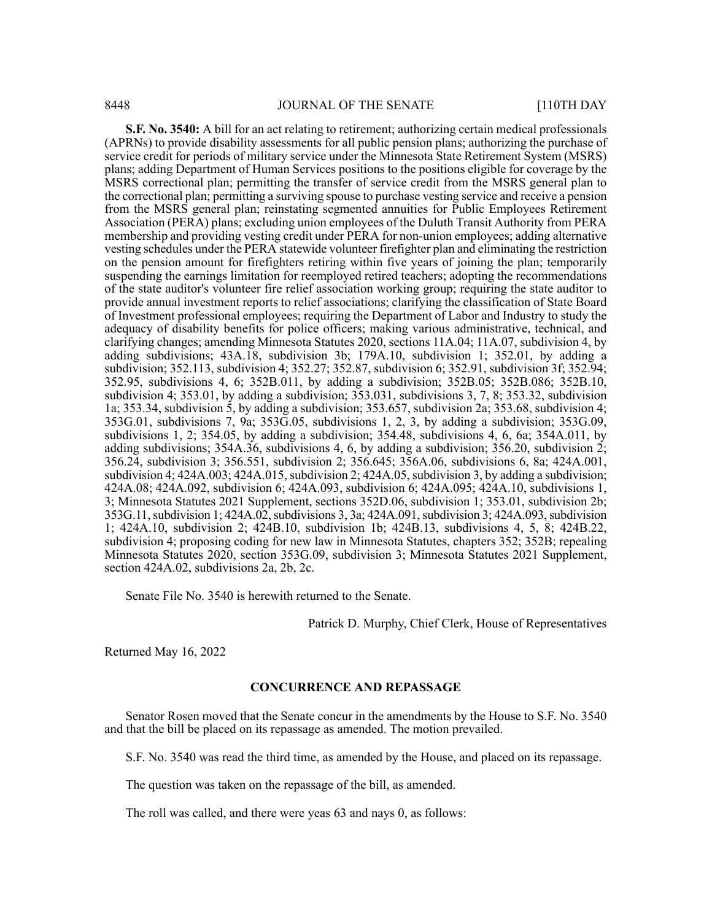**S.F. No. 3540:** A bill for an act relating to retirement; authorizing certain medical professionals (APRNs) to provide disability assessments for all public pension plans; authorizing the purchase of service credit for periods of military service under the Minnesota State Retirement System (MSRS) plans; adding Department of Human Services positions to the positions eligible for coverage by the MSRS correctional plan; permitting the transfer of service credit from the MSRS general plan to the correctional plan; permitting a surviving spouse to purchase vesting service and receive a pension from the MSRS general plan; reinstating segmented annuities for Public Employees Retirement Association (PERA) plans; excluding union employees of the Duluth Transit Authority from PERA membership and providing vesting credit under PERA for non-union employees; adding alternative vesting schedules under the PERA statewide volunteer firefighter plan and eliminating the restriction on the pension amount for firefighters retiring within five years of joining the plan; temporarily suspending the earnings limitation for reemployed retired teachers; adopting the recommendations of the state auditor's volunteer fire relief association working group; requiring the state auditor to provide annual investment reports to relief associations; clarifying the classification of State Board of Investment professional employees; requiring the Department of Labor and Industry to study the adequacy of disability benefits for police officers; making various administrative, technical, and clarifying changes; amending Minnesota Statutes 2020, sections 11A.04; 11A.07, subdivision 4, by adding subdivisions; 43A.18, subdivision 3b; 179A.10, subdivision 1; 352.01, by adding a subdivision; 352.113, subdivision 4; 352.27; 352.87, subdivision 6; 352.91, subdivision 3f; 352.94; 352.95, subdivisions 4, 6; 352B.011, by adding a subdivision; 352B.05; 352B.086; 352B.10, subdivision 4; 353.01, by adding a subdivision; 353.031, subdivisions 3, 7, 8; 353.32, subdivision 1a; 353.34, subdivision 5, by adding a subdivision; 353.657, subdivision 2a; 353.68, subdivision 4; 353G.01, subdivisions 7, 9a; 353G.05, subdivisions 1, 2, 3, by adding a subdivision; 353G.09, subdivisions 1, 2; 354.05, by adding a subdivision; 354.48, subdivisions 4, 6, 6a; 354A.011, by adding subdivisions; 354A.36, subdivisions 4, 6, by adding a subdivision; 356.20, subdivision 2; 356.24, subdivision 3; 356.551, subdivision 2; 356.645; 356A.06, subdivisions 6, 8a; 424A.001, subdivision 4;  $424A.003$ ;  $424A.015$ , subdivision 2;  $424A.05$ , subdivision 3, by adding a subdivision; 424A.08; 424A.092, subdivision 6; 424A.093, subdivision 6; 424A.095; 424A.10, subdivisions 1, 3; Minnesota Statutes 2021 Supplement, sections 352D.06, subdivision 1; 353.01, subdivision 2b; 353G.11, subdivision 1; 424A.02, subdivisions 3, 3a; 424A.091, subdivision 3; 424A.093, subdivision 1; 424A.10, subdivision 2; 424B.10, subdivision 1b; 424B.13, subdivisions 4, 5, 8; 424B.22, subdivision 4; proposing coding for new law in Minnesota Statutes, chapters 352; 352B; repealing Minnesota Statutes 2020, section 353G.09, subdivision 3; Minnesota Statutes 2021 Supplement, section 424A.02, subdivisions 2a, 2b, 2c.

Senate File No. 3540 is herewith returned to the Senate.

Patrick D. Murphy, Chief Clerk, House of Representatives

Returned May 16, 2022

#### **CONCURRENCE AND REPASSAGE**

Senator Rosen moved that the Senate concur in the amendments by the House to S.F. No. 3540 and that the bill be placed on its repassage as amended. The motion prevailed.

S.F. No. 3540 was read the third time, as amended by the House, and placed on its repassage.

The question was taken on the repassage of the bill, as amended.

The roll was called, and there were yeas 63 and nays 0, as follows: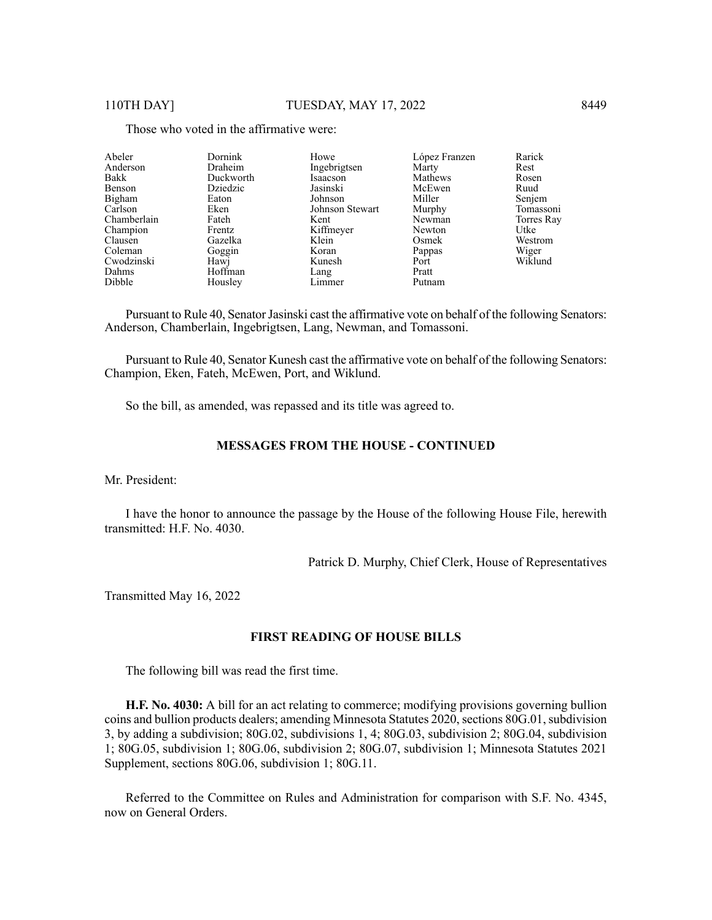| Abeler      | Dornink   | Howe            | López Franzen | Rarick     |
|-------------|-----------|-----------------|---------------|------------|
| Anderson    | Draheim   | Ingebrigtsen    | Marty         | Rest       |
| Bakk        | Duckworth | Isaacson        | Mathews       | Rosen      |
| Benson      | Dziedzic  | Jasinski        | McEwen        | Ruud       |
| Bigham      | Eaton     | Johnson         | Miller        | Senjem     |
| Carlson     | Eken      | Johnson Stewart | Murphy        | Tomassoni  |
| Chamberlain | Fateh     | Kent            | Newman        | Torres Ray |
| Champion    | Frentz    | Kiffmeyer       | Newton        | Utke       |
| Clausen     | Gazelka   | Klein           | Osmek         | Westrom    |
| Coleman     | Goggin    | Koran           | Pappas        | Wiger      |
| Cwodzinski  | Hawj      | Kunesh          | Port          | Wiklund    |
| Dahms       | Hoffman   | Lang            | Pratt         |            |
| Dibble      | Housley   | Limmer          | Putnam        |            |

Those who voted in the affirmative were:

Pursuant to Rule 40, Senator Jasinski cast the affirmative vote on behalf of the following Senators: Anderson, Chamberlain, Ingebrigtsen, Lang, Newman, and Tomassoni.

Pursuant to Rule 40, Senator Kunesh cast the affirmative vote on behalf of the following Senators: Champion, Eken, Fateh, McEwen, Port, and Wiklund.

So the bill, as amended, was repassed and its title was agreed to.

#### **MESSAGES FROM THE HOUSE - CONTINUED**

Mr. President:

I have the honor to announce the passage by the House of the following House File, herewith transmitted: H.F. No. 4030.

Patrick D. Murphy, Chief Clerk, House of Representatives

Transmitted May 16, 2022

#### **FIRST READING OF HOUSE BILLS**

The following bill was read the first time.

**H.F. No. 4030:** A bill for an act relating to commerce; modifying provisions governing bullion coins and bullion products dealers; amending Minnesota Statutes 2020, sections 80G.01, subdivision 3, by adding a subdivision; 80G.02, subdivisions 1, 4; 80G.03, subdivision 2; 80G.04, subdivision 1; 80G.05, subdivision 1; 80G.06, subdivision 2; 80G.07, subdivision 1; Minnesota Statutes 2021 Supplement, sections 80G.06, subdivision 1; 80G.11.

Referred to the Committee on Rules and Administration for comparison with S.F. No. 4345, now on General Orders.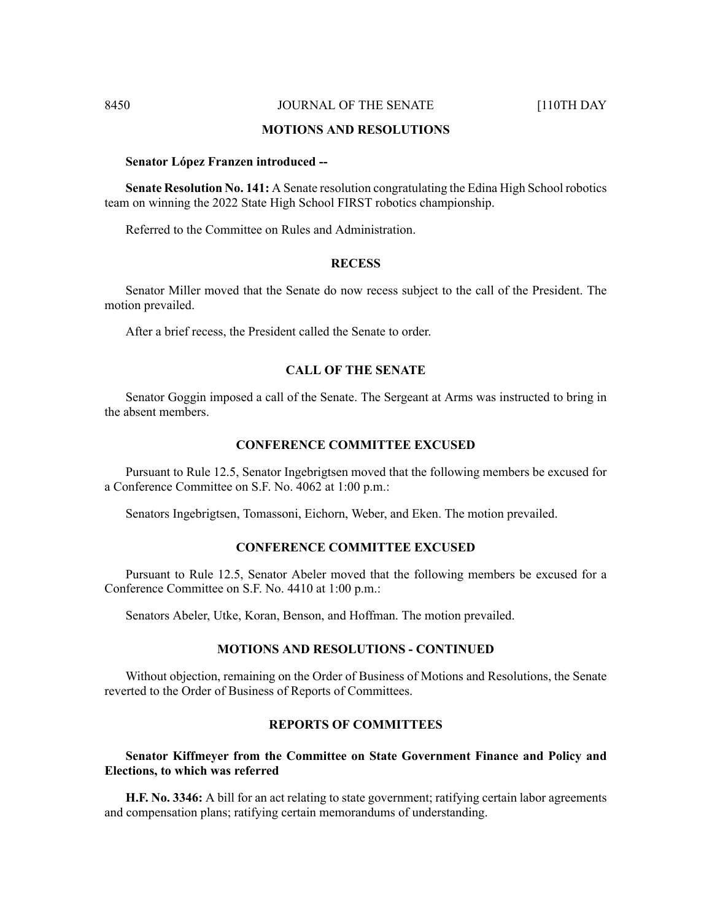# **MOTIONS AND RESOLUTIONS**

#### **Senator López Franzen introduced --**

**Senate Resolution No. 141:** A Senate resolution congratulating the Edina High School robotics team on winning the 2022 State High School FIRST robotics championship.

Referred to the Committee on Rules and Administration.

#### **RECESS**

Senator Miller moved that the Senate do now recess subject to the call of the President. The motion prevailed.

After a brief recess, the President called the Senate to order.

# **CALL OF THE SENATE**

Senator Goggin imposed a call of the Senate. The Sergeant at Arms was instructed to bring in the absent members.

#### **CONFERENCE COMMITTEE EXCUSED**

Pursuant to Rule 12.5, Senator Ingebrigtsen moved that the following members be excused for a Conference Committee on S.F. No. 4062 at 1:00 p.m.:

Senators Ingebrigtsen, Tomassoni, Eichorn, Weber, and Eken. The motion prevailed.

# **CONFERENCE COMMITTEE EXCUSED**

Pursuant to Rule 12.5, Senator Abeler moved that the following members be excused for a Conference Committee on S.F. No. 4410 at 1:00 p.m.:

Senators Abeler, Utke, Koran, Benson, and Hoffman. The motion prevailed.

### **MOTIONS AND RESOLUTIONS - CONTINUED**

Without objection, remaining on the Order of Business of Motions and Resolutions, the Senate reverted to the Order of Business of Reports of Committees.

# **REPORTS OF COMMITTEES**

# **Senator Kiffmeyer from the Committee on State Government Finance and Policy and Elections, to which was referred**

**H.F. No. 3346:** A bill for an act relating to state government; ratifying certain labor agreements and compensation plans; ratifying certain memorandums of understanding.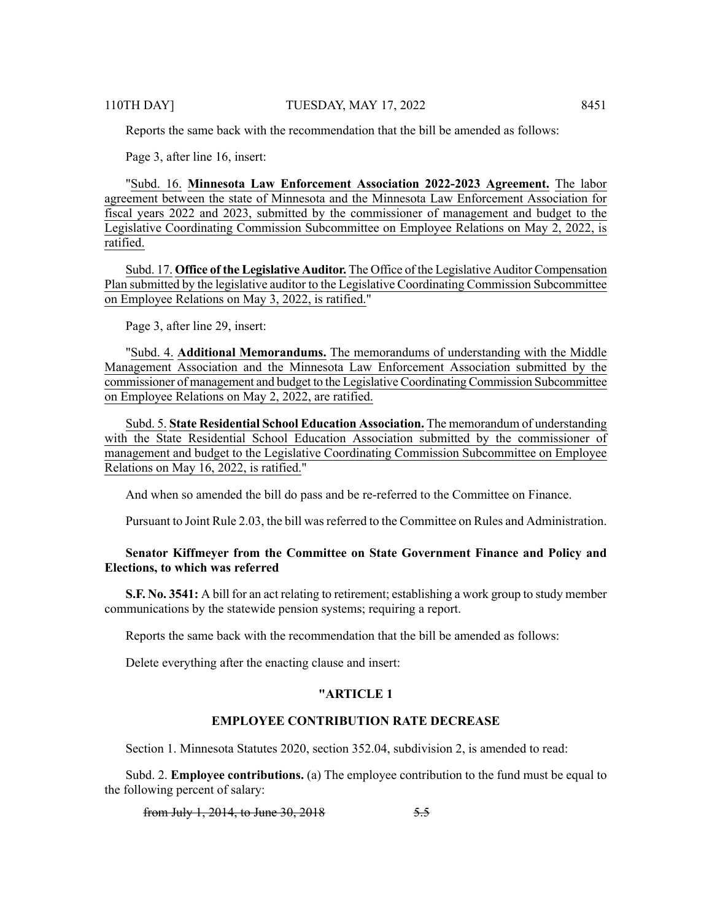Reports the same back with the recommendation that the bill be amended as follows:

Page 3, after line 16, insert:

"Subd. 16. **Minnesota Law Enforcement Association 2022-2023 Agreement.** The labor agreement between the state of Minnesota and the Minnesota Law Enforcement Association for fiscal years 2022 and 2023, submitted by the commissioner of management and budget to the Legislative Coordinating Commission Subcommittee on Employee Relations on May 2, 2022, is ratified.

Subd. 17. **Office of the Legislative Auditor.** The Office of the Legislative Auditor Compensation Plan submitted by the legislative auditor to the Legislative Coordinating Commission Subcommittee on Employee Relations on May 3, 2022, is ratified."

Page 3, after line 29, insert:

"Subd. 4. **Additional Memorandums.** The memorandums of understanding with the Middle Management Association and the Minnesota Law Enforcement Association submitted by the commissioner of management and budget to the Legislative Coordinating Commission Subcommittee on Employee Relations on May 2, 2022, are ratified.

Subd. 5. **State Residential School Education Association.** The memorandum of understanding with the State Residential School Education Association submitted by the commissioner of management and budget to the Legislative Coordinating Commission Subcommittee on Employee Relations on May 16, 2022, is ratified."

And when so amended the bill do pass and be re-referred to the Committee on Finance.

Pursuant to Joint Rule 2.03, the bill was referred to the Committee on Rules and Administration.

# **Senator Kiffmeyer from the Committee on State Government Finance and Policy and Elections, to which was referred**

**S.F. No. 3541:** A bill for an act relating to retirement; establishing a work group to study member communications by the statewide pension systems; requiring a report.

Reports the same back with the recommendation that the bill be amended as follows:

Delete everything after the enacting clause and insert:

## **"ARTICLE 1**

# **EMPLOYEE CONTRIBUTION RATE DECREASE**

Section 1. Minnesota Statutes 2020, section 352.04, subdivision 2, is amended to read:

Subd. 2. **Employee contributions.** (a) The employee contribution to the fund must be equal to the following percent of salary:

from July 1, 2014, to June 30, 2018 5.5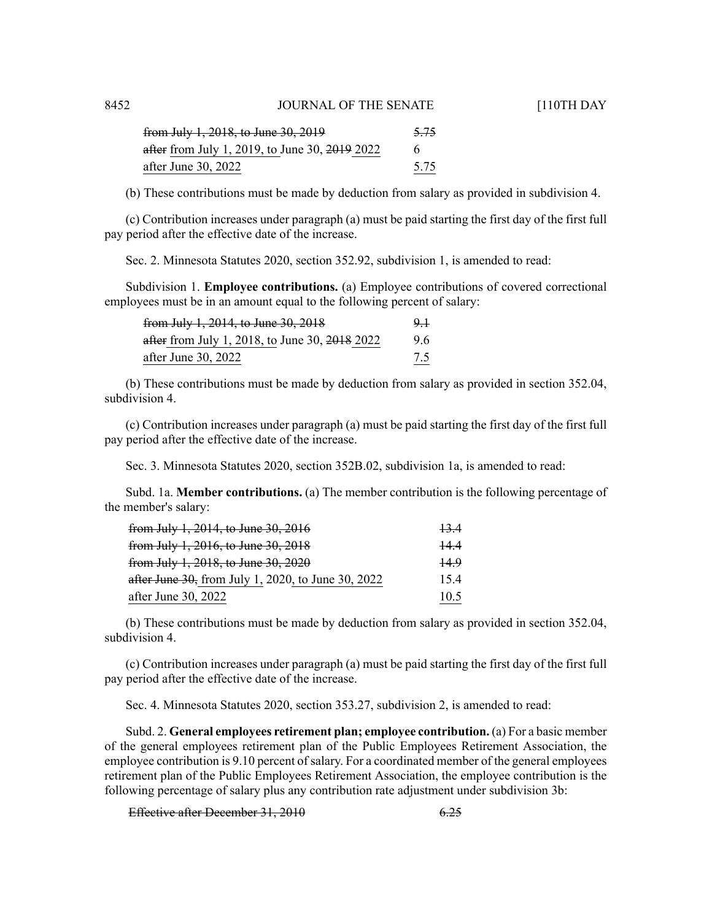| from July 1, 2018, to June 30, 2019                       | 5.75 |
|-----------------------------------------------------------|------|
| after from July 1, 2019, to June 30, <del>2019</del> 2022 | 6    |
| after June 30, 2022                                       | 5.75 |

(b) These contributions must be made by deduction from salary as provided in subdivision 4.

(c) Contribution increases under paragraph (a) must be paid starting the first day of the first full pay period after the effective date of the increase.

Sec. 2. Minnesota Statutes 2020, section 352.92, subdivision 1, is amended to read:

Subdivision 1. **Employee contributions.** (a) Employee contributions of covered correctional employees must be in an amount equal to the following percent of salary:

| from July 1, 2014, to June 30, 2018            | 9. J |
|------------------------------------------------|------|
| after from July 1, 2018, to June 30, 2018 2022 | 9.6  |
| after June 30, 2022                            | 7.5  |

(b) These contributions must be made by deduction from salary as provided in section 352.04, subdivision 4.

(c) Contribution increases under paragraph (a) must be paid starting the first day of the first full pay period after the effective date of the increase.

Sec. 3. Minnesota Statutes 2020, section 352B.02, subdivision 1a, is amended to read:

Subd. 1a. **Member contributions.** (a) The member contribution is the following percentage of the member's salary:

| <del>from July 1, 2014, to June 30, 2016</del>     | <del>13.4</del> |
|----------------------------------------------------|-----------------|
| from July 1, 2016, to June 30, 2018                | 14.4            |
| from July 1, 2018, to June 30, 2020                | 44.9            |
| after June 30, from July 1, 2020, to June 30, 2022 | 15.4            |
| after June 30, 2022                                | 10.5            |

(b) These contributions must be made by deduction from salary as provided in section 352.04, subdivision 4.

(c) Contribution increases under paragraph (a) must be paid starting the first day of the first full pay period after the effective date of the increase.

Sec. 4. Minnesota Statutes 2020, section 353.27, subdivision 2, is amended to read:

Subd. 2. **General employees retirement plan; employee contribution.** (a) For a basic member of the general employees retirement plan of the Public Employees Retirement Association, the employee contribution is 9.10 percent of salary. For a coordinated member of the general employees retirement plan of the Public Employees Retirement Association, the employee contribution is the following percentage of salary plus any contribution rate adjustment under subdivision 3b:

Effective after December 31, 2010 6.25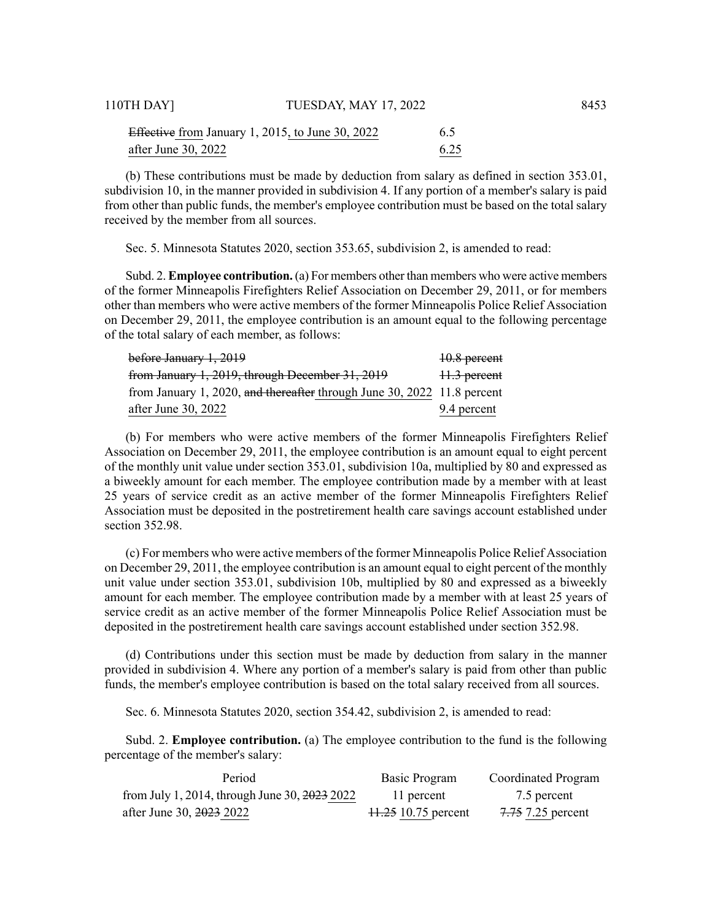| Effective from January 1, 2015, to June 30, 2022 | 6.5  |
|--------------------------------------------------|------|
| after June 30, 2022                              | 6.25 |

(b) These contributions must be made by deduction from salary as defined in section 353.01, subdivision 10, in the manner provided in subdivision 4. If any portion of a member's salary is paid from other than public funds, the member's employee contribution must be based on the total salary received by the member from all sources.

Sec. 5. Minnesota Statutes 2020, section 353.65, subdivision 2, is amended to read:

Subd. 2. **Employee contribution.** (a) For members other than members who were active members of the former Minneapolis Firefighters Relief Association on December 29, 2011, or for members other than members who were active members of the former Minneapolis Police Relief Association on December 29, 2011, the employee contribution is an amount equal to the following percentage of the total salary of each member, as follows:

| <del>before January 1, 2019</del>                                       | 10.8 percent |
|-------------------------------------------------------------------------|--------------|
| from January 1, 2019, through December 31, 2019                         | 11.3 percent |
| from January 1, 2020, and thereafter through June 30, 2022 11.8 percent |              |
| after June 30, 2022                                                     | 9.4 percent  |

(b) For members who were active members of the former Minneapolis Firefighters Relief Association on December 29, 2011, the employee contribution is an amount equal to eight percent of the monthly unit value under section 353.01, subdivision 10a, multiplied by 80 and expressed as a biweekly amount for each member. The employee contribution made by a member with at least 25 years of service credit as an active member of the former Minneapolis Firefighters Relief Association must be deposited in the postretirement health care savings account established under section 352.98.

(c) For members who were active members of the former Minneapolis Police Relief Association on December 29, 2011, the employee contribution is an amount equal to eight percent of the monthly unit value under section 353.01, subdivision 10b, multiplied by 80 and expressed as a biweekly amount for each member. The employee contribution made by a member with at least 25 years of service credit as an active member of the former Minneapolis Police Relief Association must be deposited in the postretirement health care savings account established under section 352.98.

(d) Contributions under this section must be made by deduction from salary in the manner provided in subdivision 4. Where any portion of a member's salary is paid from other than public funds, the member's employee contribution is based on the total salary received from all sources.

Sec. 6. Minnesota Statutes 2020, section 354.42, subdivision 2, is amended to read:

Subd. 2. **Employee contribution.** (a) The employee contribution to the fund is the following percentage of the member's salary:

| Period                                                  | Basic Program       | Coordinated Program |
|---------------------------------------------------------|---------------------|---------------------|
| from July 1, 2014, through June 30, $\frac{2023}{2022}$ | 11 percent          | 7.5 percent         |
| after June 30, 2023 2022                                | 11.25 10.75 percent | 7.75 7.25 percent   |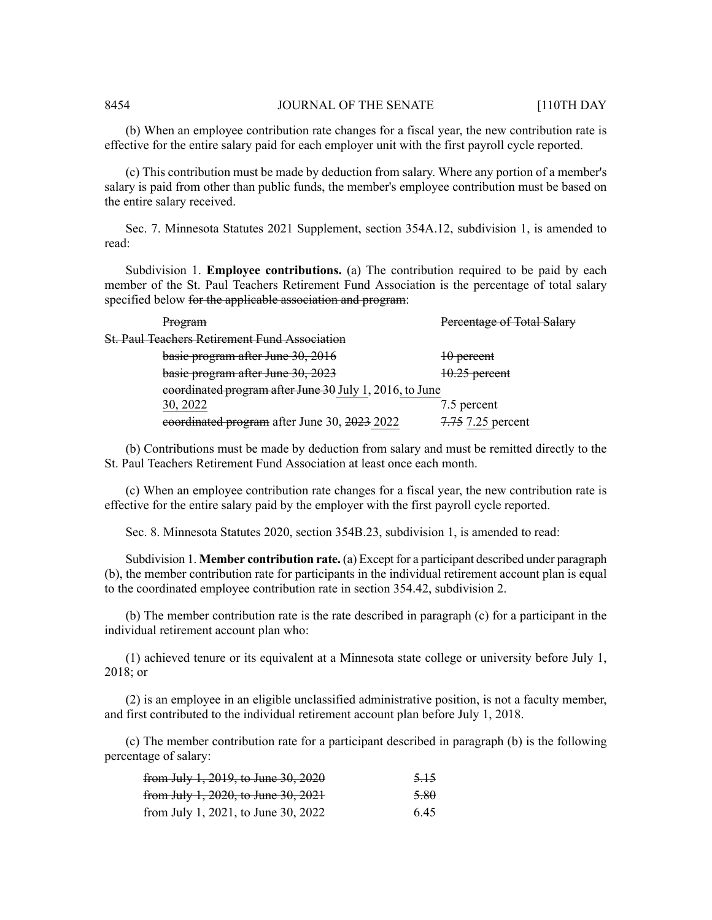(b) When an employee contribution rate changes for a fiscal year, the new contribution rate is effective for the entire salary paid for each employer unit with the first payroll cycle reported.

(c) This contribution must be made by deduction from salary. Where any portion of a member's salary is paid from other than public funds, the member's employee contribution must be based on the entire salary received.

Sec. 7. Minnesota Statutes 2021 Supplement, section 354A.12, subdivision 1, is amended to read:

Subdivision 1. **Employee contributions.** (a) The contribution required to be paid by each member of the St. Paul Teachers Retirement Fund Association is the percentage of total salary specified below for the applicable association and program:

| Program                                                 | Percentage of Total Salary |
|---------------------------------------------------------|----------------------------|
| <b>St. Paul Teachers Retirement Fund Association</b>    |                            |
| basie program after June 30, 2016                       | 10 percent                 |
| basic program after June 30, 2023                       | 10.25 percent              |
| eoordinated program after June 30 July 1, 2016, to June |                            |
| 30, 2022                                                | 7.5 percent                |
| eoordinated program after June 30, 2023 2022            | 7.75 7.25 percent          |

(b) Contributions must be made by deduction from salary and must be remitted directly to the St. Paul Teachers Retirement Fund Association at least once each month.

(c) When an employee contribution rate changes for a fiscal year, the new contribution rate is effective for the entire salary paid by the employer with the first payroll cycle reported.

Sec. 8. Minnesota Statutes 2020, section 354B.23, subdivision 1, is amended to read:

Subdivision 1. **Member contribution rate.** (a) Except for a participant described under paragraph (b), the member contribution rate for participants in the individual retirement account plan is equal to the coordinated employee contribution rate in section 354.42, subdivision 2.

(b) The member contribution rate is the rate described in paragraph (c) for a participant in the individual retirement account plan who:

(1) achieved tenure or its equivalent at a Minnesota state college or university before July 1, 2018; or

(2) is an employee in an eligible unclassified administrative position, is not a faculty member, and first contributed to the individual retirement account plan before July 1, 2018.

(c) The member contribution rate for a participant described in paragraph (b) is the following percentage of salary:

| from July 1, 2019, to June 30, 2020 | <del>5.15</del> |
|-------------------------------------|-----------------|
| from July 1, 2020, to June 30, 2021 | 5.80            |
| from July 1, 2021, to June 30, 2022 | 6.45            |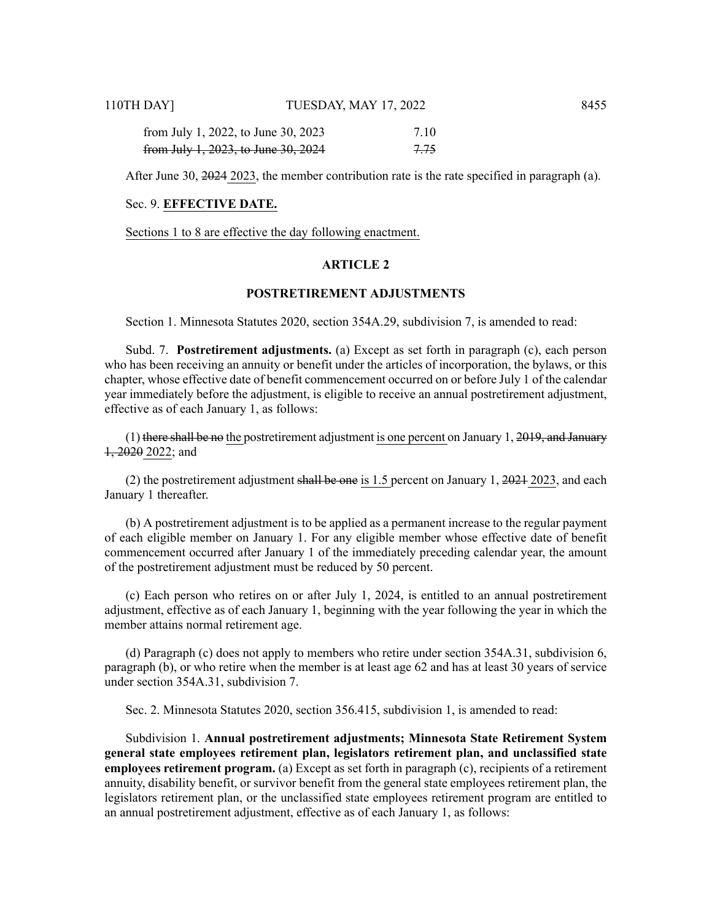| 110TH DAY]                          | TUESDAY, MAY 17, 2022 |      | 8455 |
|-------------------------------------|-----------------------|------|------|
| from July 1, 2022, to June 30, 2023 |                       | 7.10 |      |
| from July 1, 2023, to June 30, 2024 |                       | 7.75 |      |

After June 30, 2024 2023, the member contribution rate is the rate specified in paragraph (a).

#### Sec. 9. **EFFECTIVE DATE.**

Sections 1 to 8 are effective the day following enactment.

#### **ARTICLE 2**

# **POSTRETIREMENT ADJUSTMENTS**

Section 1. Minnesota Statutes 2020, section 354A.29, subdivision 7, is amended to read:

Subd. 7. **Postretirement adjustments.** (a) Except as set forth in paragraph (c), each person who has been receiving an annuity or benefit under the articles of incorporation, the bylaws, or this chapter, whose effective date of benefit commencement occurred on or before July 1 of the calendar year immediately before the adjustment, is eligible to receive an annual postretirement adjustment, effective as of each January 1, as follows:

 $(1)$  there shall be no the postretirement adjustment is one percent on January 1, 2019, and January  $1, 2020$  2022; and

(2) the postretirement adjustment shall be one is 1.5 percent on January 1,  $2021$  2023, and each January 1 thereafter.

(b) A postretirement adjustment is to be applied as a permanent increase to the regular payment of each eligible member on January 1. For any eligible member whose effective date of benefit commencement occurred after January 1 of the immediately preceding calendar year, the amount of the postretirement adjustment must be reduced by 50 percent.

(c) Each person who retires on or after July 1, 2024, is entitled to an annual postretirement adjustment, effective as of each January 1, beginning with the year following the year in which the member attains normal retirement age.

(d) Paragraph (c) does not apply to members who retire under section 354A.31, subdivision 6, paragraph (b), or who retire when the member is at least age 62 and has at least 30 years of service under section 354A.31, subdivision 7.

Sec. 2. Minnesota Statutes 2020, section 356.415, subdivision 1, is amended to read:

Subdivision 1. **Annual postretirement adjustments; Minnesota State Retirement System general state employees retirement plan, legislators retirement plan, and unclassified state employees retirement program.** (a) Except as set forth in paragraph (c), recipients of a retirement annuity, disability benefit, or survivor benefit from the general state employees retirement plan, the legislators retirement plan, or the unclassified state employees retirement program are entitled to an annual postretirement adjustment, effective as of each January 1, as follows: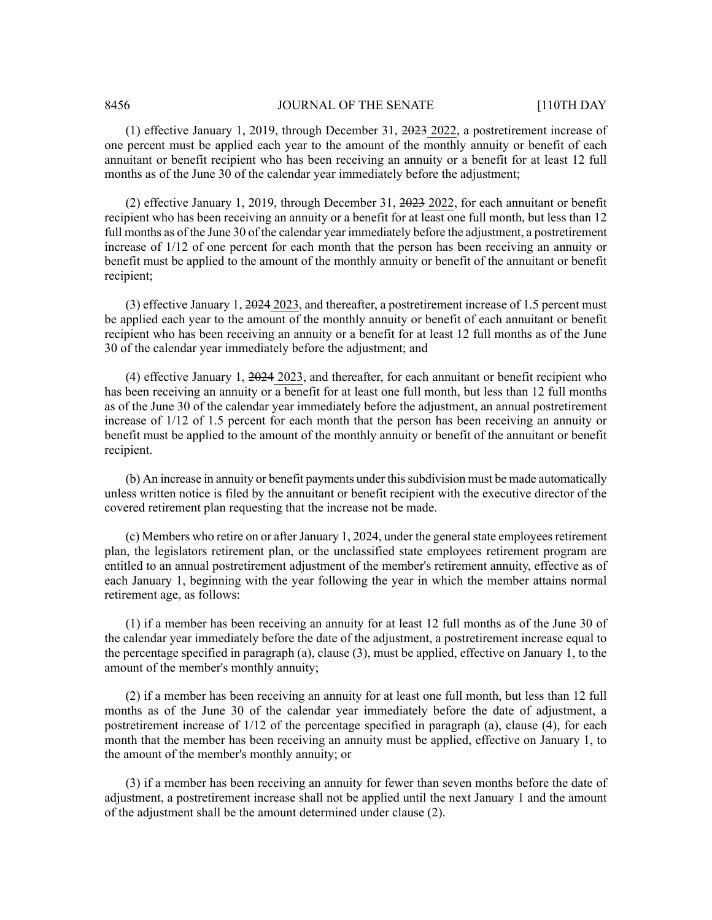(1) effective January 1, 2019, through December 31, 2023 2022, a postretirement increase of one percent must be applied each year to the amount of the monthly annuity or benefit of each annuitant or benefit recipient who has been receiving an annuity or a benefit for at least 12 full months as of the June 30 of the calendar year immediately before the adjustment;

(2) effective January 1, 2019, through December 31, 2023 2022, for each annuitant or benefit recipient who has been receiving an annuity or a benefit for at least one full month, but less than 12 full months as of the June 30 of the calendar year immediately before the adjustment, a postretirement increase of 1/12 of one percent for each month that the person has been receiving an annuity or benefit must be applied to the amount of the monthly annuity or benefit of the annuitant or benefit recipient;

(3) effective January 1, 2024 2023, and thereafter, a postretirement increase of 1.5 percent must be applied each year to the amount of the monthly annuity or benefit of each annuitant or benefit recipient who has been receiving an annuity or a benefit for at least 12 full months as of the June 30 of the calendar year immediately before the adjustment; and

(4) effective January 1, 2024 2023, and thereafter, for each annuitant or benefit recipient who has been receiving an annuity or a benefit for at least one full month, but less than 12 full months as of the June 30 of the calendar year immediately before the adjustment, an annual postretirement increase of 1/12 of 1.5 percent for each month that the person has been receiving an annuity or benefit must be applied to the amount of the monthly annuity or benefit of the annuitant or benefit recipient.

(b) An increase in annuity or benefit payments under thissubdivision must be made automatically unless written notice is filed by the annuitant or benefit recipient with the executive director of the covered retirement plan requesting that the increase not be made.

 $(c)$  Members who retire on or after January 1, 2024, under the general state employees retirement plan, the legislators retirement plan, or the unclassified state employees retirement program are entitled to an annual postretirement adjustment of the member's retirement annuity, effective as of each January 1, beginning with the year following the year in which the member attains normal retirement age, as follows:

(1) if a member has been receiving an annuity for at least 12 full months as of the June 30 of the calendar year immediately before the date of the adjustment, a postretirement increase equal to the percentage specified in paragraph (a), clause (3), must be applied, effective on January 1, to the amount of the member's monthly annuity;

(2) if a member has been receiving an annuity for at least one full month, but less than 12 full months as of the June 30 of the calendar year immediately before the date of adjustment, a postretirement increase of 1/12 of the percentage specified in paragraph (a), clause (4), for each month that the member has been receiving an annuity must be applied, effective on January 1, to the amount of the member's monthly annuity; or

(3) if a member has been receiving an annuity for fewer than seven months before the date of adjustment, a postretirement increase shall not be applied until the next January 1 and the amount of the adjustment shall be the amount determined under clause (2).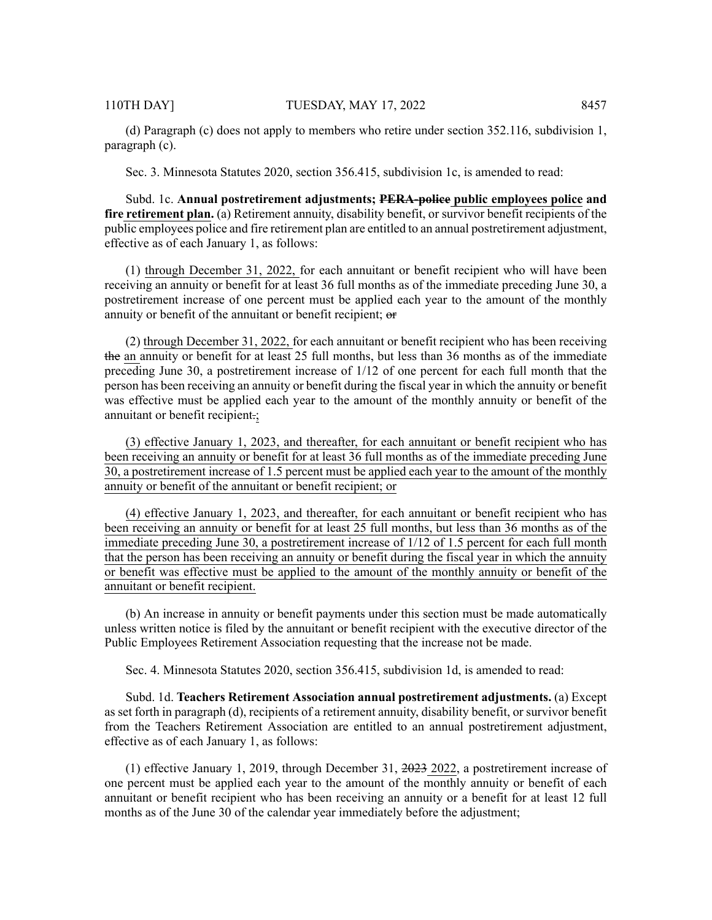(d) Paragraph (c) does not apply to members who retire under section 352.116, subdivision 1, paragraph (c).

Sec. 3. Minnesota Statutes 2020, section 356.415, subdivision 1c, is amended to read:

Subd. 1c. **Annual postretirement adjustments; PERA-police public employees police and fire retirement plan.** (a) Retirement annuity, disability benefit, or survivor benefit recipients of the public employees police and fire retirement plan are entitled to an annual postretirement adjustment, effective as of each January 1, as follows:

(1) through December 31, 2022, for each annuitant or benefit recipient who will have been receiving an annuity or benefit for at least 36 full months as of the immediate preceding June 30, a postretirement increase of one percent must be applied each year to the amount of the monthly annuity or benefit of the annuitant or benefit recipient; or

(2) through December 31, 2022, for each annuitant or benefit recipient who has been receiving the an annuity or benefit for at least 25 full months, but less than 36 months as of the immediate preceding June 30, a postretirement increase of 1/12 of one percent for each full month that the person has been receiving an annuity or benefit during the fiscal year in which the annuity or benefit was effective must be applied each year to the amount of the monthly annuity or benefit of the annuitant or benefit recipient.;

(3) effective January 1, 2023, and thereafter, for each annuitant or benefit recipient who has been receiving an annuity or benefit for at least 36 full months as of the immediate preceding June 30, a postretirement increase of 1.5 percent must be applied each year to the amount of the monthly annuity or benefit of the annuitant or benefit recipient; or

(4) effective January 1, 2023, and thereafter, for each annuitant or benefit recipient who has been receiving an annuity or benefit for at least 25 full months, but less than 36 months as of the immediate preceding June 30, a postretirement increase of 1/12 of 1.5 percent for each full month that the person has been receiving an annuity or benefit during the fiscal year in which the annuity or benefit was effective must be applied to the amount of the monthly annuity or benefit of the annuitant or benefit recipient.

(b) An increase in annuity or benefit payments under this section must be made automatically unless written notice is filed by the annuitant or benefit recipient with the executive director of the Public Employees Retirement Association requesting that the increase not be made.

Sec. 4. Minnesota Statutes 2020, section 356.415, subdivision 1d, is amended to read:

Subd. 1d. **Teachers Retirement Association annual postretirement adjustments.** (a) Except as set forth in paragraph (d), recipients of a retirement annuity, disability benefit, or survivor benefit from the Teachers Retirement Association are entitled to an annual postretirement adjustment, effective as of each January 1, as follows:

(1) effective January 1, 2019, through December 31, 2023 2022, a postretirement increase of one percent must be applied each year to the amount of the monthly annuity or benefit of each annuitant or benefit recipient who has been receiving an annuity or a benefit for at least 12 full months as of the June 30 of the calendar year immediately before the adjustment;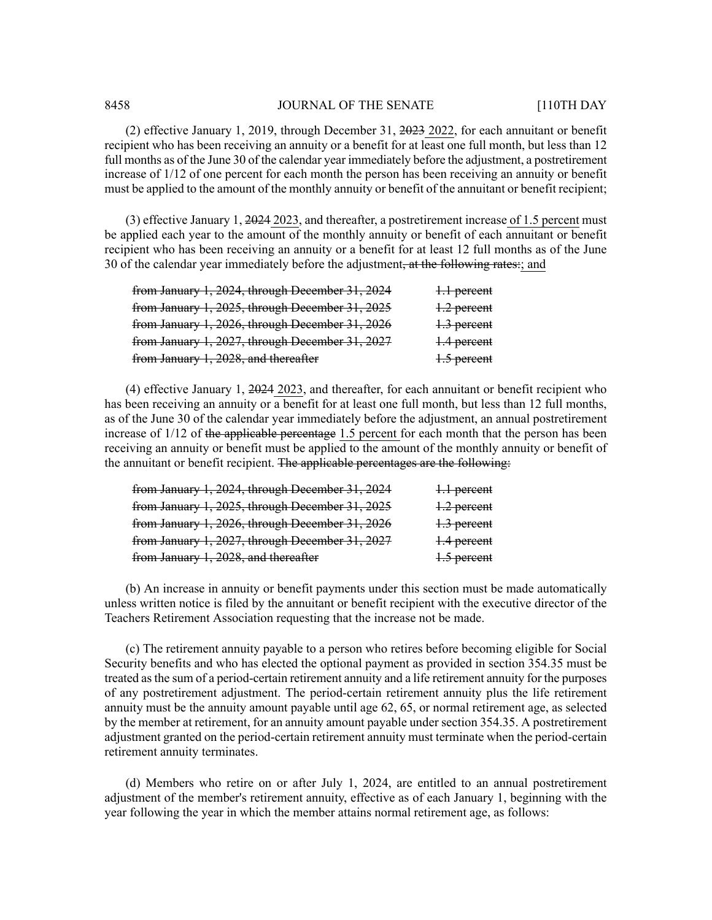(2) effective January 1, 2019, through December 31, 2023 2022, for each annuitant or benefit recipient who has been receiving an annuity or a benefit for at least one full month, but less than 12 full months as of the June 30 of the calendar year immediately before the adjustment, a postretirement increase of 1/12 of one percent for each month the person has been receiving an annuity or benefit must be applied to the amount of the monthly annuity or benefit of the annuitant or benefit recipient;

(3) effective January 1, 2024 2023, and thereafter, a postretirement increase of 1.5 percent must be applied each year to the amount of the monthly annuity or benefit of each annuitant or benefit recipient who has been receiving an annuity or a benefit for at least 12 full months as of the June 30 of the calendar year immediately before the adjustment, at the following rates:; and

| from January 1, 2024, through December 31, 2024 | 1.1 percent   |
|-------------------------------------------------|---------------|
| from January 1, 2025, through December 31, 2025 | $1.2$ percent |
| from January 1, 2026, through December 31, 2026 | 1.3 percent   |
| from January 1, 2027, through December 31, 2027 | 1.4 percent   |
| from January 1, 2028, and thereafter            | 1.5 percent   |

(4) effective January 1, 2024 2023, and thereafter, for each annuitant or benefit recipient who has been receiving an annuity or a benefit for at least one full month, but less than 12 full months, as of the June 30 of the calendar year immediately before the adjustment, an annual postretirement increase of 1/12 of the applicable percentage 1.5 percent for each month that the person has been receiving an annuity or benefit must be applied to the amount of the monthly annuity or benefit of the annuitant or benefit recipient. The applicable percentages are the following:

| from January 1, 2024, through December 31, 2024 | 1.1 percent |
|-------------------------------------------------|-------------|
| from January 1, 2025, through December 31, 2025 | 1.2 percent |
| from January 1, 2026, through December 31, 2026 | 1.3 percent |
| from January 1, 2027, through December 31, 2027 | 1.4 percent |
| from January 1, 2028, and thereafter            | 1.5 percent |

(b) An increase in annuity or benefit payments under this section must be made automatically unless written notice is filed by the annuitant or benefit recipient with the executive director of the Teachers Retirement Association requesting that the increase not be made.

(c) The retirement annuity payable to a person who retires before becoming eligible for Social Security benefits and who has elected the optional payment as provided in section 354.35 must be treated asthe sum of a period-certain retirement annuity and a life retirement annuity for the purposes of any postretirement adjustment. The period-certain retirement annuity plus the life retirement annuity must be the annuity amount payable until age 62, 65, or normal retirement age, as selected by the member at retirement, for an annuity amount payable under section 354.35. A postretirement adjustment granted on the period-certain retirement annuity must terminate when the period-certain retirement annuity terminates.

(d) Members who retire on or after July 1, 2024, are entitled to an annual postretirement adjustment of the member's retirement annuity, effective as of each January 1, beginning with the year following the year in which the member attains normal retirement age, as follows: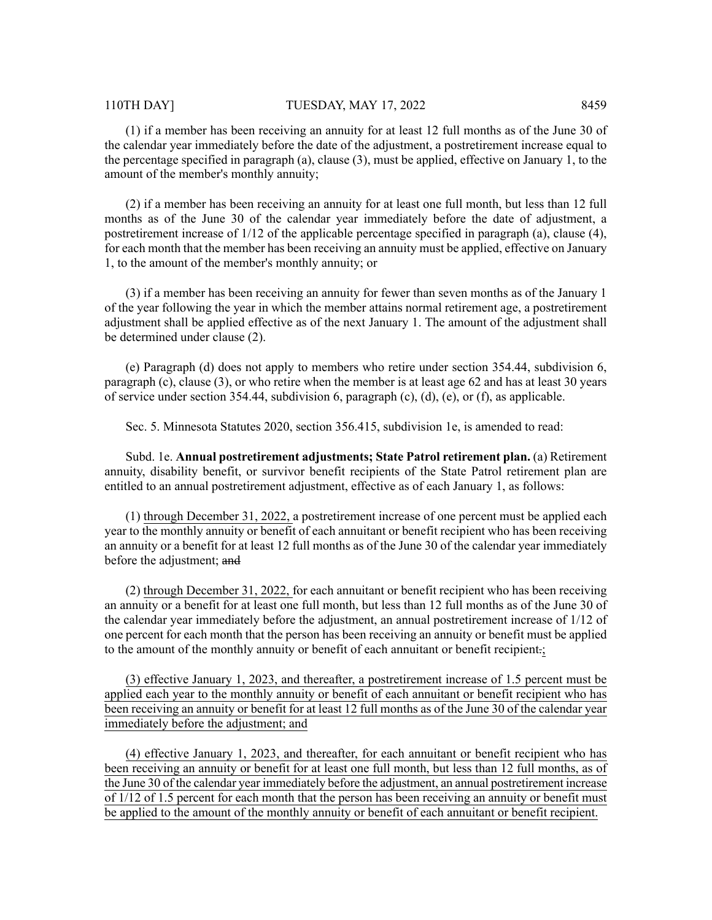(1) if a member has been receiving an annuity for at least 12 full months as of the June 30 of the calendar year immediately before the date of the adjustment, a postretirement increase equal to the percentage specified in paragraph (a), clause (3), must be applied, effective on January 1, to the amount of the member's monthly annuity;

(2) if a member has been receiving an annuity for at least one full month, but less than 12 full months as of the June 30 of the calendar year immediately before the date of adjustment, a postretirement increase of 1/12 of the applicable percentage specified in paragraph (a), clause (4), for each month that the member has been receiving an annuity must be applied, effective on January 1, to the amount of the member's monthly annuity; or

(3) if a member has been receiving an annuity for fewer than seven months as of the January 1 of the year following the year in which the member attains normal retirement age, a postretirement adjustment shall be applied effective as of the next January 1. The amount of the adjustment shall be determined under clause (2).

(e) Paragraph (d) does not apply to members who retire under section 354.44, subdivision 6, paragraph (c), clause (3), or who retire when the member is at least age 62 and has at least 30 years of service under section 354.44, subdivision 6, paragraph (c), (d), (e), or (f), as applicable.

Sec. 5. Minnesota Statutes 2020, section 356.415, subdivision 1e, is amended to read:

Subd. 1e. **Annual postretirement adjustments; State Patrol retirement plan.** (a) Retirement annuity, disability benefit, or survivor benefit recipients of the State Patrol retirement plan are entitled to an annual postretirement adjustment, effective as of each January 1, as follows:

(1) through December 31, 2022, a postretirement increase of one percent must be applied each year to the monthly annuity or benefit of each annuitant or benefit recipient who has been receiving an annuity or a benefit for at least 12 full months as of the June 30 of the calendar year immediately before the adjustment; and

(2) through December 31, 2022, for each annuitant or benefit recipient who has been receiving an annuity or a benefit for at least one full month, but less than 12 full months as of the June 30 of the calendar year immediately before the adjustment, an annual postretirement increase of 1/12 of one percent for each month that the person has been receiving an annuity or benefit must be applied to the amount of the monthly annuity or benefit of each annuitant or benefit recipient.;

(3) effective January 1, 2023, and thereafter, a postretirement increase of 1.5 percent must be applied each year to the monthly annuity or benefit of each annuitant or benefit recipient who has been receiving an annuity or benefit for at least 12 full months as of the June 30 of the calendar year immediately before the adjustment; and

(4) effective January 1, 2023, and thereafter, for each annuitant or benefit recipient who has been receiving an annuity or benefit for at least one full month, but less than 12 full months, as of the June 30 of the calendar year immediately before the adjustment, an annual postretirement increase of 1/12 of 1.5 percent for each month that the person has been receiving an annuity or benefit must be applied to the amount of the monthly annuity or benefit of each annuitant or benefit recipient.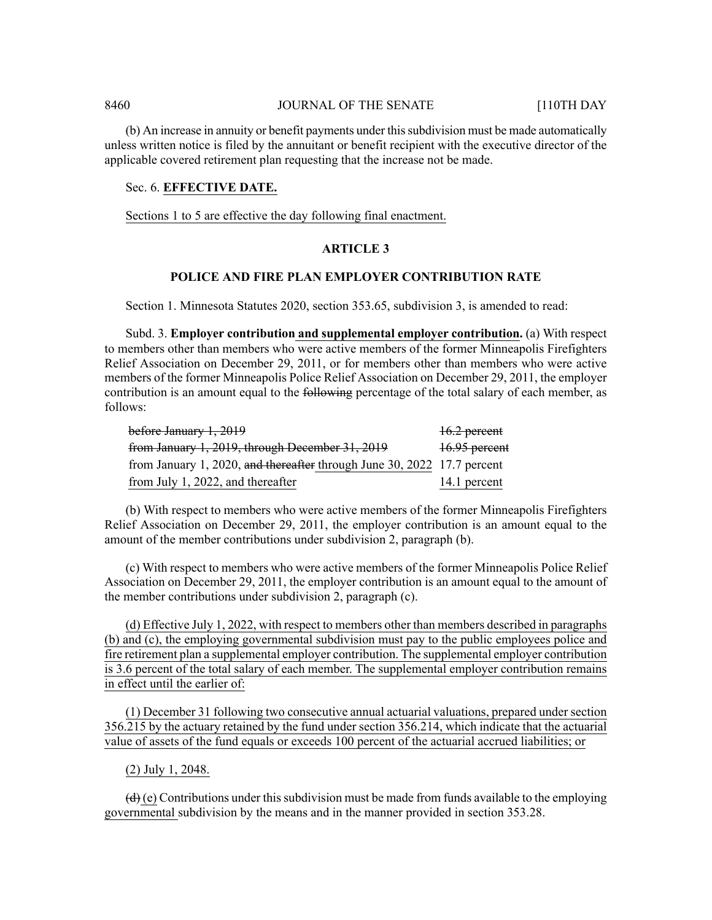(b) An increase in annuity or benefit payments under thissubdivision must be made automatically unless written notice is filed by the annuitant or benefit recipient with the executive director of the applicable covered retirement plan requesting that the increase not be made.

#### Sec. 6. **EFFECTIVE DATE.**

Sections 1 to 5 are effective the day following final enactment.

#### **ARTICLE 3**

# **POLICE AND FIRE PLAN EMPLOYER CONTRIBUTION RATE**

Section 1. Minnesota Statutes 2020, section 353.65, subdivision 3, is amended to read:

Subd. 3. **Employer contribution and supplemental employer contribution.** (a) With respect to members other than members who were active members of the former Minneapolis Firefighters Relief Association on December 29, 2011, or for members other than members who were active members of the former Minneapolis Police Relief Association on December 29, 2011, the employer contribution is an amount equal to the following percentage of the total salary of each member, as follows:

| before January 1, 2019                                                  | 16.2 percent  |
|-------------------------------------------------------------------------|---------------|
| from January 1, 2019, through December 31, 2019                         | 16.95 percent |
| from January 1, 2020, and thereafter through June 30, 2022 17.7 percent |               |
| from July 1, 2022, and thereafter                                       | 14.1 percent  |

(b) With respect to members who were active members of the former Minneapolis Firefighters Relief Association on December 29, 2011, the employer contribution is an amount equal to the amount of the member contributions under subdivision 2, paragraph (b).

(c) With respect to members who were active members of the former Minneapolis Police Relief Association on December 29, 2011, the employer contribution is an amount equal to the amount of the member contributions under subdivision 2, paragraph (c).

(d) Effective July 1, 2022, with respect to members other than members described in paragraphs (b) and (c), the employing governmental subdivision must pay to the public employees police and fire retirement plan a supplemental employer contribution. The supplemental employer contribution is 3.6 percent of the total salary of each member. The supplemental employer contribution remains in effect until the earlier of:

(1) December 31 following two consecutive annual actuarial valuations, prepared under section 356.215 by the actuary retained by the fund under section 356.214, which indicate that the actuarial value of assets of the fund equals or exceeds 100 percent of the actuarial accrued liabilities; or

#### (2) July 1, 2048.

 $\left(\frac{d}{d}\right)$  (e) Contributions under this subdivision must be made from funds available to the employing governmental subdivision by the means and in the manner provided in section 353.28.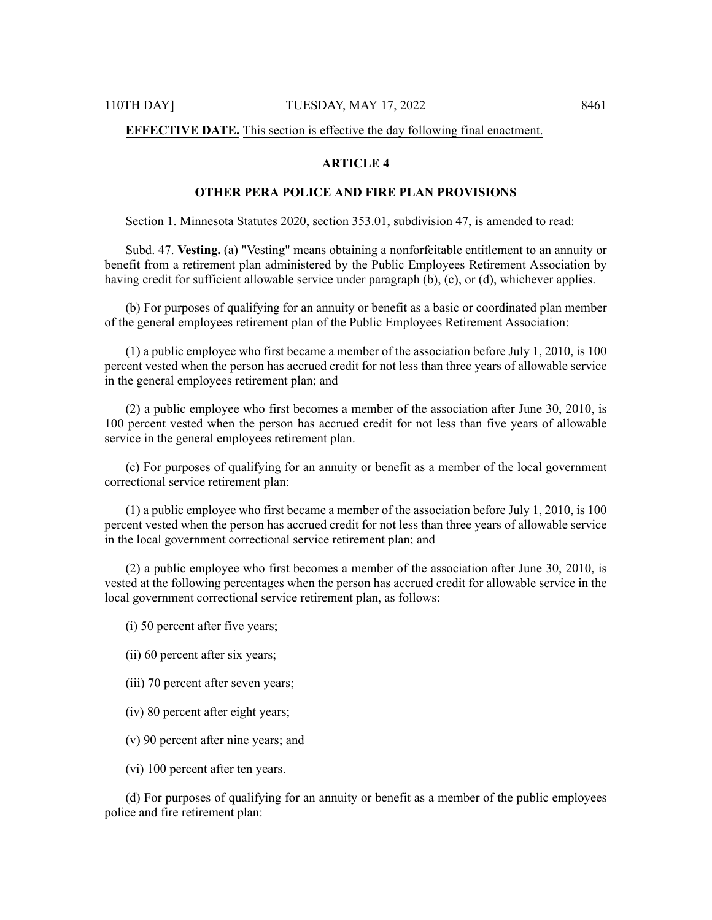# **EFFECTIVE DATE.** This section is effective the day following final enactment.

# **ARTICLE 4**

# **OTHER PERA POLICE AND FIRE PLAN PROVISIONS**

Section 1. Minnesota Statutes 2020, section 353.01, subdivision 47, is amended to read:

Subd. 47. **Vesting.** (a) "Vesting" means obtaining a nonforfeitable entitlement to an annuity or benefit from a retirement plan administered by the Public Employees Retirement Association by having credit for sufficient allowable service under paragraph (b), (c), or (d), whichever applies.

(b) For purposes of qualifying for an annuity or benefit as a basic or coordinated plan member of the general employees retirement plan of the Public Employees Retirement Association:

(1) a public employee who first became a member of the association before July 1, 2010, is 100 percent vested when the person has accrued credit for not less than three years of allowable service in the general employees retirement plan; and

(2) a public employee who first becomes a member of the association after June 30, 2010, is 100 percent vested when the person has accrued credit for not less than five years of allowable service in the general employees retirement plan.

(c) For purposes of qualifying for an annuity or benefit as a member of the local government correctional service retirement plan:

(1) a public employee who first became a member of the association before July 1, 2010, is 100 percent vested when the person has accrued credit for not less than three years of allowable service in the local government correctional service retirement plan; and

(2) a public employee who first becomes a member of the association after June 30, 2010, is vested at the following percentages when the person has accrued credit for allowable service in the local government correctional service retirement plan, as follows:

(i) 50 percent after five years;

- (ii) 60 percent after six years;
- (iii) 70 percent after seven years;
- (iv) 80 percent after eight years;
- (v) 90 percent after nine years; and
- (vi) 100 percent after ten years.

(d) For purposes of qualifying for an annuity or benefit as a member of the public employees police and fire retirement plan: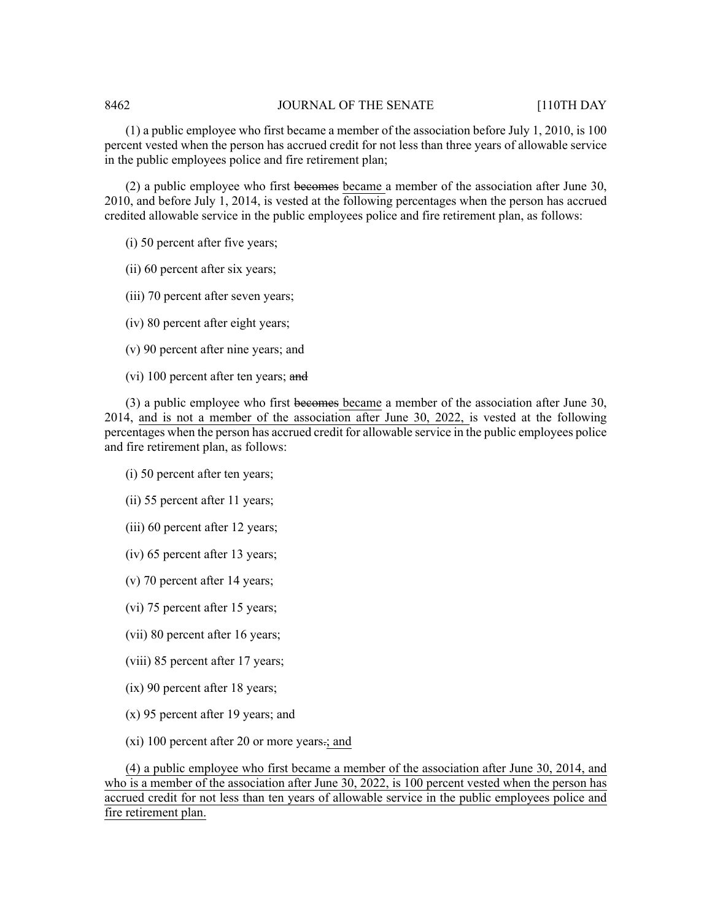(1) a public employee who first became a member of the association before July 1, 2010, is 100 percent vested when the person has accrued credit for not less than three years of allowable service in the public employees police and fire retirement plan;

 $(2)$  a public employee who first becomes became a member of the association after June 30, 2010, and before July 1, 2014, is vested at the following percentages when the person has accrued credited allowable service in the public employees police and fire retirement plan, as follows:

- (i) 50 percent after five years;
- (ii) 60 percent after six years;
- (iii) 70 percent after seven years;
- (iv) 80 percent after eight years;
- (v) 90 percent after nine years; and
- (vi) 100 percent after ten years; and

(3) a public employee who first becomes became a member of the association after June 30, 2014, and is not a member of the association after June 30, 2022, is vested at the following percentages when the person has accrued credit for allowable service in the public employees police and fire retirement plan, as follows:

- (i) 50 percent after ten years;
- (ii) 55 percent after 11 years;
- (iii) 60 percent after 12 years;
- (iv) 65 percent after 13 years;
- (v) 70 percent after 14 years;
- (vi) 75 percent after 15 years;
- (vii) 80 percent after 16 years;
- (viii) 85 percent after 17 years;
- (ix) 90 percent after 18 years;
- (x) 95 percent after 19 years; and
- (xi) 100 percent after 20 or more years.; and

(4) a public employee who first became a member of the association after June 30, 2014, and who is a member of the association after June 30, 2022, is 100 percent vested when the person has accrued credit for not less than ten years of allowable service in the public employees police and fire retirement plan.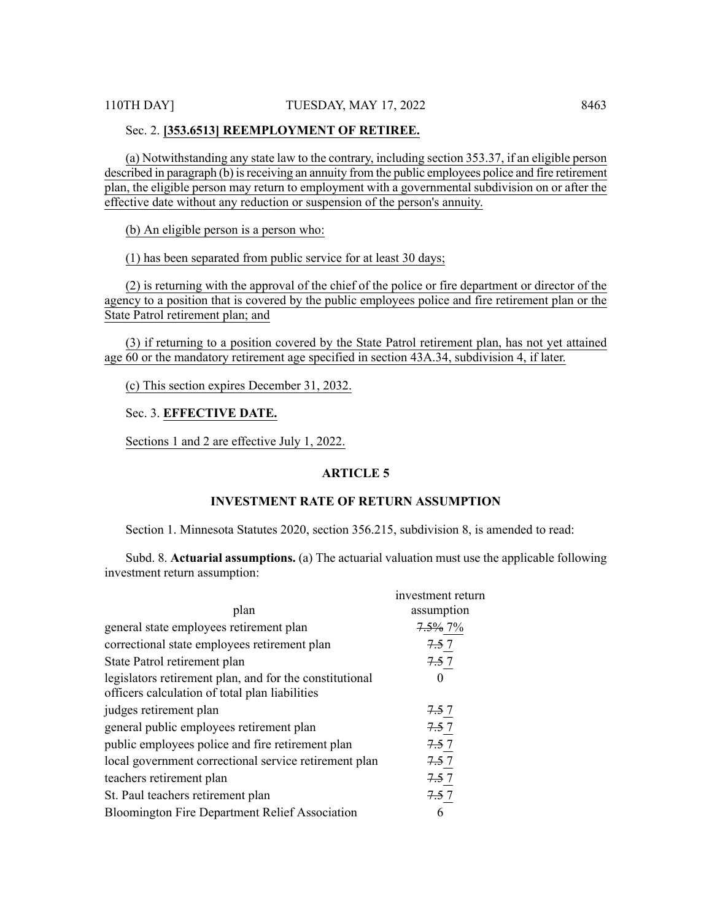#### Sec. 2. **[353.6513] REEMPLOYMENT OF RETIREE.**

(a) Notwithstanding any state law to the contrary, including section 353.37, if an eligible person described in paragraph (b) is receiving an annuity from the public employees police and fire retirement plan, the eligible person may return to employment with a governmental subdivision on or after the effective date without any reduction or suspension of the person's annuity.

(b) An eligible person is a person who:

(1) has been separated from public service for at least 30 days;

(2) is returning with the approval of the chief of the police or fire department or director of the agency to a position that is covered by the public employees police and fire retirement plan or the State Patrol retirement plan; and

(3) if returning to a position covered by the State Patrol retirement plan, has not yet attained age 60 or the mandatory retirement age specified in section 43A.34, subdivision 4, if later.

(c) This section expires December 31, 2032.

Sec. 3. **EFFECTIVE DATE.**

Sections 1 and 2 are effective July 1, 2022.

# **ARTICLE 5**

# **INVESTMENT RATE OF RETURN ASSUMPTION**

Section 1. Minnesota Statutes 2020, section 356.215, subdivision 8, is amended to read:

Subd. 8. **Actuarial assumptions.** (a) The actuarial valuation must use the applicable following investment return assumption:

| investment return |
|-------------------|
| assumption        |
| 7.5% 7%           |
| 7.5 7             |
| 7.57              |
|                   |
| 7.57              |
| 7.57              |
| 7.57              |
| 7.57              |
| 7.57              |
| 7.57              |
| 6                 |
|                   |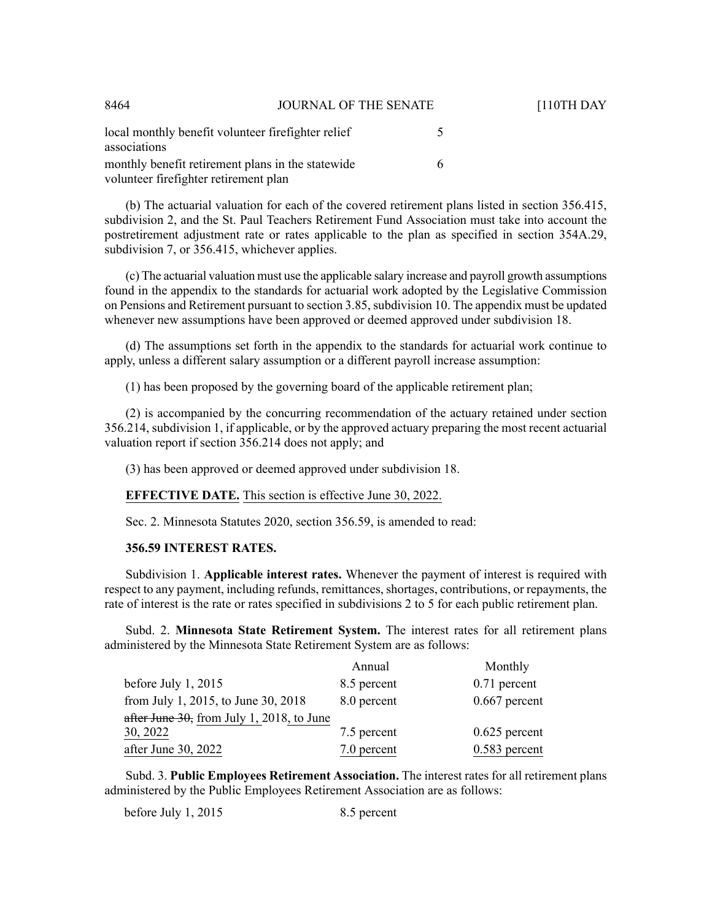| 8464                                                                                       | JOURNAL OF THE SENATE |                          |
|--------------------------------------------------------------------------------------------|-----------------------|--------------------------|
| local monthly benefit volunteer firefighter relief<br>associations                         |                       | $\overline{\phantom{1}}$ |
| monthly benefit retirement plans in the statewide<br>volunteer firefighter retirement plan |                       | 6                        |

(b) The actuarial valuation for each of the covered retirement plans listed in section 356.415, subdivision 2, and the St. Paul Teachers Retirement Fund Association must take into account the postretirement adjustment rate or rates applicable to the plan as specified in section 354A.29, subdivision 7, or 356.415, whichever applies.

[110TH DAY

(c) The actuarial valuation must use the applicable salary increase and payroll growth assumptions found in the appendix to the standards for actuarial work adopted by the Legislative Commission on Pensions and Retirement pursuant to section 3.85, subdivision 10. The appendix must be updated whenever new assumptions have been approved or deemed approved under subdivision 18.

(d) The assumptions set forth in the appendix to the standards for actuarial work continue to apply, unless a different salary assumption or a different payroll increase assumption:

(1) has been proposed by the governing board of the applicable retirement plan;

(2) is accompanied by the concurring recommendation of the actuary retained under section 356.214, subdivision 1, if applicable, or by the approved actuary preparing the most recent actuarial valuation report if section 356.214 does not apply; and

(3) has been approved or deemed approved under subdivision 18.

#### **EFFECTIVE DATE.** This section is effective June 30, 2022.

Sec. 2. Minnesota Statutes 2020, section 356.59, is amended to read:

#### **356.59 INTEREST RATES.**

Subdivision 1. **Applicable interest rates.** Whenever the payment of interest is required with respect to any payment, including refunds, remittances, shortages, contributions, or repayments, the rate of interest is the rate or rates specified in subdivisions 2 to 5 for each public retirement plan.

Subd. 2. **Minnesota State Retirement System.** The interest rates for all retirement plans administered by the Minnesota State Retirement System are as follows:

|                                           | Annual      | Monthly         |
|-------------------------------------------|-------------|-----------------|
| before July 1, 2015                       | 8.5 percent | $0.71$ percent  |
| from July 1, 2015, to June 30, 2018       | 8.0 percent | $0.667$ percent |
| after June 30, from July 1, 2018, to June |             |                 |
| 30, 2022                                  | 7.5 percent | $0.625$ percent |
| after June 30, 2022                       | 7.0 percent | $0.583$ percent |

Subd. 3. **Public Employees Retirement Association.** The interest rates for all retirement plans administered by the Public Employees Retirement Association are as follows:

before July 1, 2015 8.5 percent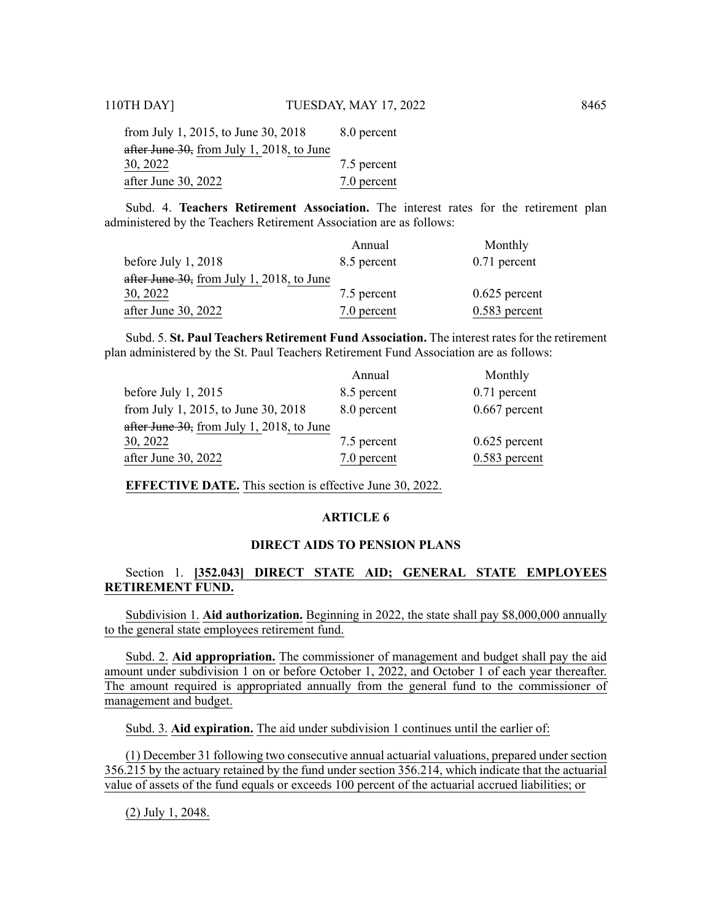| from July 1, 2015, to June 30, 2018       | 8.0 percent |
|-------------------------------------------|-------------|
| after June 30, from July 1, 2018, to June |             |
| 30, 2022                                  | 7.5 percent |
| after June 30, 2022                       | 7.0 percent |

Subd. 4. **Teachers Retirement Association.** The interest rates for the retirement plan administered by the Teachers Retirement Association are as follows:

|                                           | Annual      | Monthly         |
|-------------------------------------------|-------------|-----------------|
| before July 1, 2018                       | 8.5 percent | $0.71$ percent  |
| after June 30, from July 1, 2018, to June |             |                 |
| 30, 2022                                  | 7.5 percent | $0.625$ percent |
| after June 30, 2022                       | 7.0 percent | $0.583$ percent |

Subd. 5. **St. Paul Teachers Retirement Fund Association.** The interest rates for the retirement plan administered by the St. Paul Teachers Retirement Fund Association are as follows:

|                                           | Annual      | Monthly         |
|-------------------------------------------|-------------|-----------------|
| before July 1, 2015                       | 8.5 percent | $0.71$ percent  |
| from July 1, 2015, to June 30, 2018       | 8.0 percent | $0.667$ percent |
| after June 30, from July 1, 2018, to June |             |                 |
| 30, 2022                                  | 7.5 percent | $0.625$ percent |
| after June 30, 2022                       | 7.0 percent | $0.583$ percent |
|                                           |             |                 |

**EFFECTIVE DATE.** This section is effective June 30, 2022.

#### **ARTICLE 6**

# **DIRECT AIDS TO PENSION PLANS**

# Section 1. **[352.043] DIRECT STATE AID; GENERAL STATE EMPLOYEES RETIREMENT FUND.**

Subdivision 1. **Aid authorization.** Beginning in 2022, the state shall pay \$8,000,000 annually to the general state employees retirement fund.

Subd. 2. **Aid appropriation.** The commissioner of management and budget shall pay the aid amount under subdivision 1 on or before October 1, 2022, and October 1 of each year thereafter. The amount required is appropriated annually from the general fund to the commissioner of management and budget.

Subd. 3. **Aid expiration.** The aid under subdivision 1 continues until the earlier of:

(1) December 31 following two consecutive annual actuarial valuations, prepared under section 356.215 by the actuary retained by the fund under section 356.214, which indicate that the actuarial value of assets of the fund equals or exceeds 100 percent of the actuarial accrued liabilities; or

(2) July 1, 2048.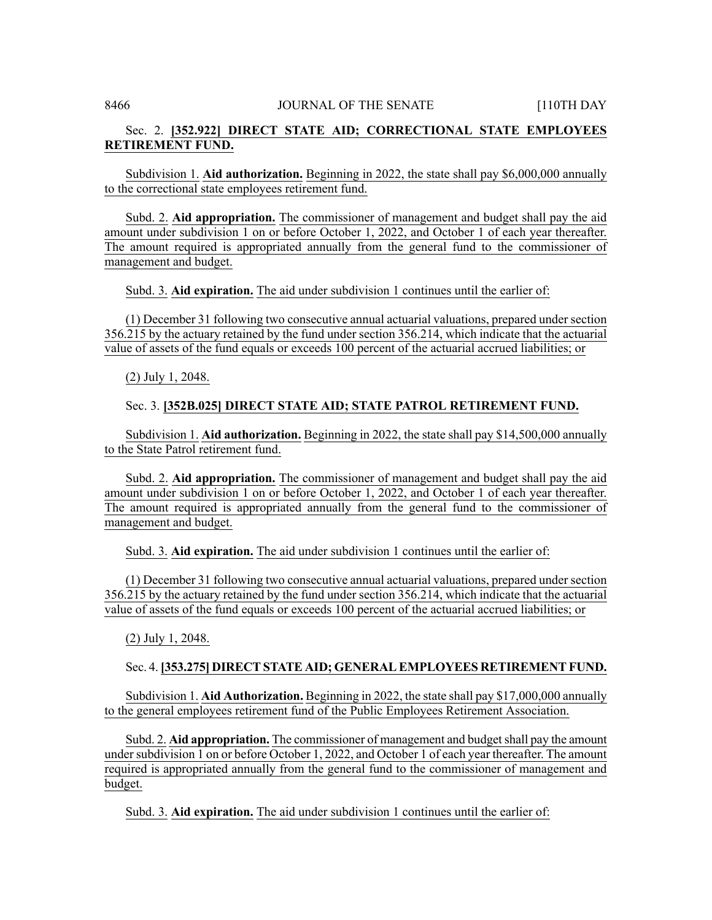# Sec. 2. **[352.922] DIRECT STATE AID; CORRECTIONAL STATE EMPLOYEES RETIREMENT FUND.**

Subdivision 1. **Aid authorization.** Beginning in 2022, the state shall pay \$6,000,000 annually to the correctional state employees retirement fund.

Subd. 2. **Aid appropriation.** The commissioner of management and budget shall pay the aid amount under subdivision 1 on or before October 1, 2022, and October 1 of each year thereafter. The amount required is appropriated annually from the general fund to the commissioner of management and budget.

Subd. 3. **Aid expiration.** The aid under subdivision 1 continues until the earlier of:

(1) December 31 following two consecutive annual actuarial valuations, prepared under section 356.215 by the actuary retained by the fund under section 356.214, which indicate that the actuarial value of assets of the fund equals or exceeds 100 percent of the actuarial accrued liabilities; or

(2) July 1, 2048.

# Sec. 3. **[352B.025] DIRECT STATE AID; STATE PATROL RETIREMENT FUND.**

Subdivision 1. **Aid authorization.** Beginning in 2022, the state shall pay \$14,500,000 annually to the State Patrol retirement fund.

Subd. 2. **Aid appropriation.** The commissioner of management and budget shall pay the aid amount under subdivision 1 on or before October 1, 2022, and October 1 of each year thereafter. The amount required is appropriated annually from the general fund to the commissioner of management and budget.

Subd. 3. **Aid expiration.** The aid under subdivision 1 continues until the earlier of:

(1) December 31 following two consecutive annual actuarial valuations, prepared under section 356.215 by the actuary retained by the fund under section 356.214, which indicate that the actuarial value of assets of the fund equals or exceeds 100 percent of the actuarial accrued liabilities; or

(2) July 1, 2048.

# Sec. 4.**[353.275] DIRECTSTATE AID; GENERALEMPLOYEES RETIREMENTFUND.**

Subdivision 1. **Aid Authorization.** Beginning in 2022, the state shall pay \$17,000,000 annually to the general employees retirement fund of the Public Employees Retirement Association.

Subd. 2. **Aid appropriation.** The commissioner of management and budget shall pay the amount under subdivision 1 on or before October 1, 2022, and October 1 of each year thereafter. The amount required is appropriated annually from the general fund to the commissioner of management and budget.

Subd. 3. **Aid expiration.** The aid under subdivision 1 continues until the earlier of: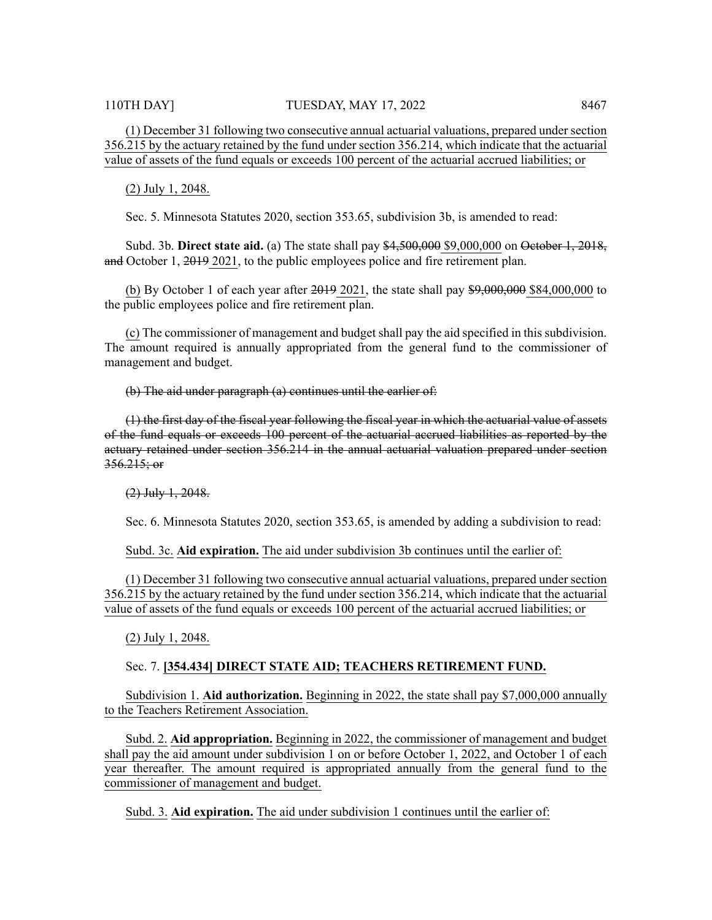(1) December 31 following two consecutive annual actuarial valuations, prepared under section 356.215 by the actuary retained by the fund under section 356.214, which indicate that the actuarial value of assets of the fund equals or exceeds 100 percent of the actuarial accrued liabilities; or

(2) July 1, 2048.

Sec. 5. Minnesota Statutes 2020, section 353.65, subdivision 3b, is amended to read:

Subd. 3b. **Direct state aid.** (a) The state shall pay \$4,500,000 \$9,000,000 on October 1, 2018, and October 1, 2019 2021, to the public employees police and fire retirement plan.

(b) By October 1 of each year after  $2019$  2021, the state shall pay  $\frac{1}{29000000}$  \$84,000,000 to the public employees police and fire retirement plan.

(c) The commissioner of management and budget shall pay the aid specified in this subdivision. The amount required is annually appropriated from the general fund to the commissioner of management and budget.

(b) The aid under paragraph (a) continues until the earlier of:

(1) the first day of the fiscal year following the fiscal year in which the actuarial value of assets of the fund equals or exceeds 100 percent of the actuarial accrued liabilities as reported by the actuary retained under section 356.214 in the annual actuarial valuation prepared under section  $356.215;$  or

(2) July 1, 2048.

Sec. 6. Minnesota Statutes 2020, section 353.65, is amended by adding a subdivision to read:

Subd. 3c. **Aid expiration.** The aid under subdivision 3b continues until the earlier of:

(1) December 31 following two consecutive annual actuarial valuations, prepared under section 356.215 by the actuary retained by the fund under section 356.214, which indicate that the actuarial value of assets of the fund equals or exceeds 100 percent of the actuarial accrued liabilities; or

(2) July 1, 2048.

#### Sec. 7. **[354.434] DIRECT STATE AID; TEACHERS RETIREMENT FUND.**

Subdivision 1. **Aid authorization.** Beginning in 2022, the state shall pay \$7,000,000 annually to the Teachers Retirement Association.

Subd. 2. **Aid appropriation.** Beginning in 2022, the commissioner of management and budget shall pay the aid amount under subdivision 1 on or before October 1, 2022, and October 1 of each year thereafter. The amount required is appropriated annually from the general fund to the commissioner of management and budget.

Subd. 3. **Aid expiration.** The aid under subdivision 1 continues until the earlier of: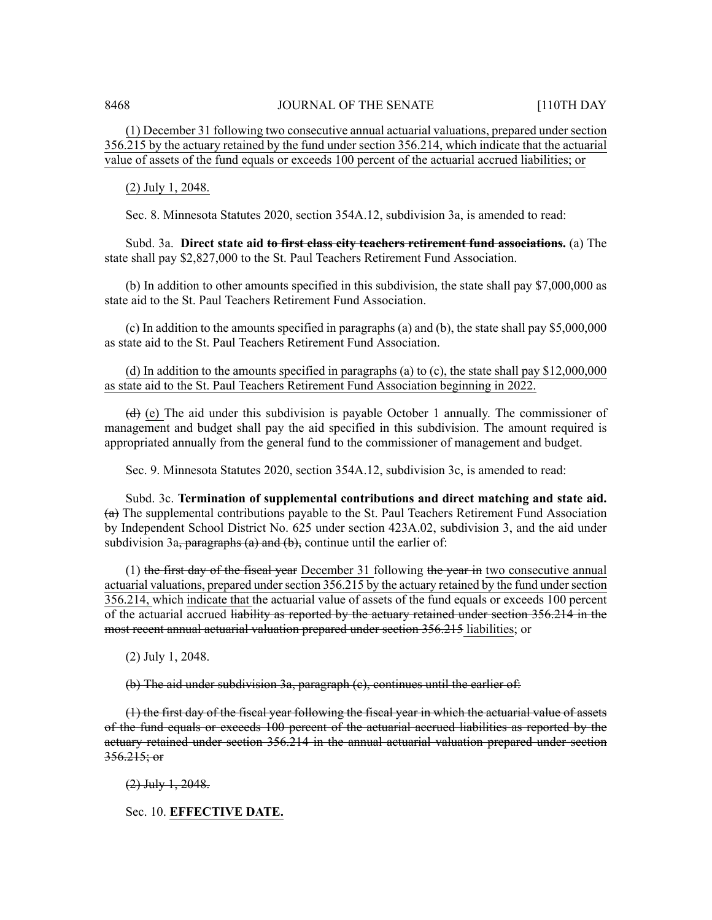(1) December 31 following two consecutive annual actuarial valuations, prepared under section 356.215 by the actuary retained by the fund under section 356.214, which indicate that the actuarial value of assets of the fund equals or exceeds 100 percent of the actuarial accrued liabilities; or

(2) July 1, 2048.

Sec. 8. Minnesota Statutes 2020, section 354A.12, subdivision 3a, is amended to read:

Subd. 3a. **Direct state aid to first class city teachers retirement fund associations.** (a) The state shall pay \$2,827,000 to the St. Paul Teachers Retirement Fund Association.

(b) In addition to other amounts specified in this subdivision, the state shall pay \$7,000,000 as state aid to the St. Paul Teachers Retirement Fund Association.

(c) In addition to the amounts specified in paragraphs (a) and (b), the state shall pay \$5,000,000 as state aid to the St. Paul Teachers Retirement Fund Association.

(d) In addition to the amounts specified in paragraphs (a) to (c), the state shall pay \$12,000,000 as state aid to the St. Paul Teachers Retirement Fund Association beginning in 2022.

 $\left(\frac{d}{d}\right)$  (e) The aid under this subdivision is payable October 1 annually. The commissioner of management and budget shall pay the aid specified in this subdivision. The amount required is appropriated annually from the general fund to the commissioner of management and budget.

Sec. 9. Minnesota Statutes 2020, section 354A.12, subdivision 3c, is amended to read:

Subd. 3c. **Termination of supplemental contributions and direct matching and state aid.**  $(a)$  The supplemental contributions payable to the St. Paul Teachers Retirement Fund Association by Independent School District No. 625 under section 423A.02, subdivision 3, and the aid under subdivision 3a, paragraphs  $(a)$  and  $(b)$ , continue until the earlier of:

(1) the first day of the fiscal year December 31 following the year in two consecutive annual actuarial valuations, prepared under section 356.215 by the actuary retained by the fund under section 356.214, which indicate that the actuarial value of assets of the fund equals or exceeds 100 percent of the actuarial accrued liability as reported by the actuary retained under section 356.214 in the most recent annual actuarial valuation prepared under section 356.215 liabilities; or

(2) July 1, 2048.

(b) The aid under subdivision 3a, paragraph (c), continues until the earlier of:

(1) the first day of the fiscal year following the fiscal year in which the actuarial value of assets of the fund equals or exceeds 100 percent of the actuarial accrued liabilities as reported by the actuary retained under section 356.214 in the annual actuarial valuation prepared under section  $356.215; or$ 

(2) July 1, 2048.

Sec. 10. **EFFECTIVE DATE.**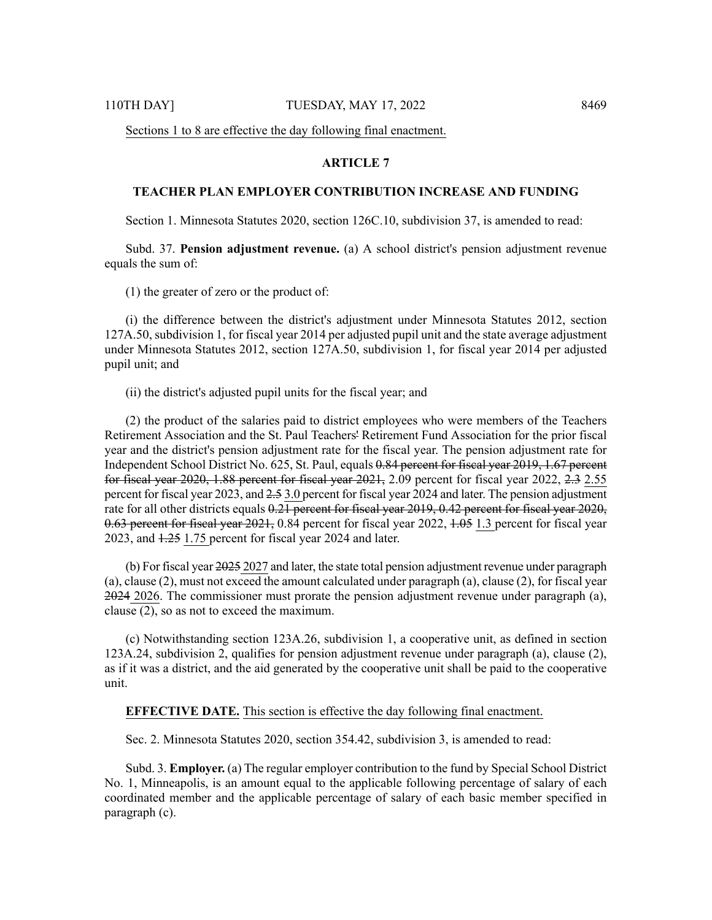# **ARTICLE 7**

# **TEACHER PLAN EMPLOYER CONTRIBUTION INCREASE AND FUNDING**

Section 1. Minnesota Statutes 2020, section 126C.10, subdivision 37, is amended to read:

Subd. 37. **Pension adjustment revenue.** (a) A school district's pension adjustment revenue equals the sum of:

(1) the greater of zero or the product of:

(i) the difference between the district's adjustment under Minnesota Statutes 2012, section 127A.50, subdivision 1, for fiscal year 2014 per adjusted pupil unit and the state average adjustment under Minnesota Statutes 2012, section 127A.50, subdivision 1, for fiscal year 2014 per adjusted pupil unit; and

(ii) the district's adjusted pupil units for the fiscal year; and

(2) the product of the salaries paid to district employees who were members of the Teachers Retirement Association and the St. Paul Teachers' Retirement Fund Association for the prior fiscal year and the district's pension adjustment rate for the fiscal year. The pension adjustment rate for Independent School District No. 625, St. Paul, equals 0.84 percent for fiscal year 2019, 1.67 percent for fiscal year 2020, 1.88 percent for fiscal year 2021, 2.09 percent for fiscal year 2022, 2.3 2.55 percent for fiscal year 2023, and 2.5 3.0 percent for fiscal year 2024 and later. The pension adjustment rate for all other districts equals  $0.21$  percent for fiscal year 2019, 0.42 percent for fiscal year 2020, 0.63 percent for fiscal year 2021, 0.84 percent for fiscal year 2022, 1.05 1.3 percent for fiscal year 2023, and  $1.25$  1.75 percent for fiscal year 2024 and later.

(b) For fiscal year 2025 2027 and later, the state total pension adjustment revenue under paragraph (a), clause (2), must not exceed the amount calculated under paragraph (a), clause (2), for fiscal year  $2024$  2026. The commissioner must prorate the pension adjustment revenue under paragraph (a), clause (2), so as not to exceed the maximum.

(c) Notwithstanding section 123A.26, subdivision 1, a cooperative unit, as defined in section 123A.24, subdivision 2, qualifies for pension adjustment revenue under paragraph (a), clause (2), as if it was a district, and the aid generated by the cooperative unit shall be paid to the cooperative unit.

#### **EFFECTIVE DATE.** This section is effective the day following final enactment.

Sec. 2. Minnesota Statutes 2020, section 354.42, subdivision 3, is amended to read:

Subd. 3. **Employer.** (a) The regular employer contribution to the fund by Special School District No. 1, Minneapolis, is an amount equal to the applicable following percentage of salary of each coordinated member and the applicable percentage of salary of each basic member specified in paragraph (c).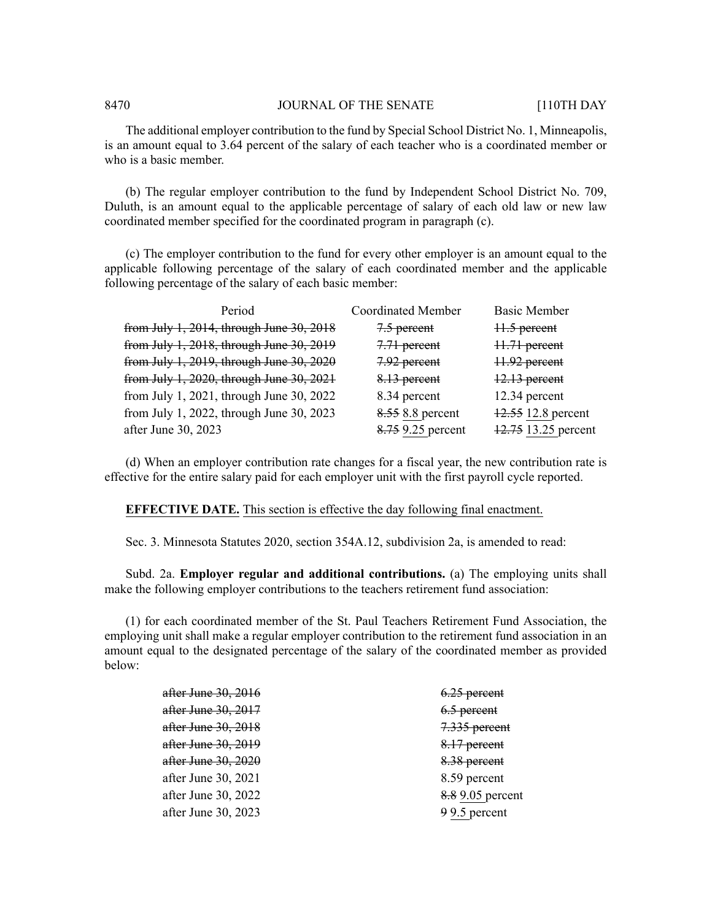The additional employer contribution to the fund by Special School District No. 1, Minneapolis, is an amount equal to 3.64 percent of the salary of each teacher who is a coordinated member or who is a basic member.

(b) The regular employer contribution to the fund by Independent School District No. 709, Duluth, is an amount equal to the applicable percentage of salary of each old law or new law coordinated member specified for the coordinated program in paragraph (c).

(c) The employer contribution to the fund for every other employer is an amount equal to the applicable following percentage of the salary of each coordinated member and the applicable following percentage of the salary of each basic member:

| Period                                   | <b>Coordinated Member</b> | <b>Basic Member</b> |
|------------------------------------------|---------------------------|---------------------|
| from July 1, 2014, through June 30, 2018 | 7.5 percent               | 11.5 percent        |
| from July 1, 2018, through June 30, 2019 | 7.71 percent              | 11.71 percent       |
| from July 1, 2019, through June 30, 2020 | 7.92 percent              | 11.92 percent       |
| from July 1, 2020, through June 30, 2021 | 8.13 percent              | $12.13$ percent     |
| from July 1, 2021, through June 30, 2022 | 8.34 percent              | 12.34 percent       |
| from July 1, 2022, through June 30, 2023 | 8.55 8.8 percent          | 12.55 12.8 percent  |
| after June 30, 2023                      | 8.75 9.25 percent         | 12.75 13.25 percent |

(d) When an employer contribution rate changes for a fiscal year, the new contribution rate is effective for the entire salary paid for each employer unit with the first payroll cycle reported.

#### **EFFECTIVE DATE.** This section is effective the day following final enactment.

Sec. 3. Minnesota Statutes 2020, section 354A.12, subdivision 2a, is amended to read:

Subd. 2a. **Employer regular and additional contributions.** (a) The employing units shall make the following employer contributions to the teachers retirement fund association:

(1) for each coordinated member of the St. Paul Teachers Retirement Fund Association, the employing unit shall make a regular employer contribution to the retirement fund association in an amount equal to the designated percentage of the salary of the coordinated member as provided below:

| <del>after June 30, 2016</del> | 6.25 percent     |
|--------------------------------|------------------|
| <del>after June 30, 2017</del> | $6.5$ percent    |
| <del>after June 30, 2018</del> | 7.335 percent    |
| <del>after June 30, 2019</del> | 8.17 percent     |
| <del>after June 30, 2020</del> | 8.38 percent     |
| after June 30, 2021            | 8.59 percent     |
| after June 30, 2022            | 8.8 9.05 percent |
| after June 30, 2023            | 99.5 percent     |
|                                |                  |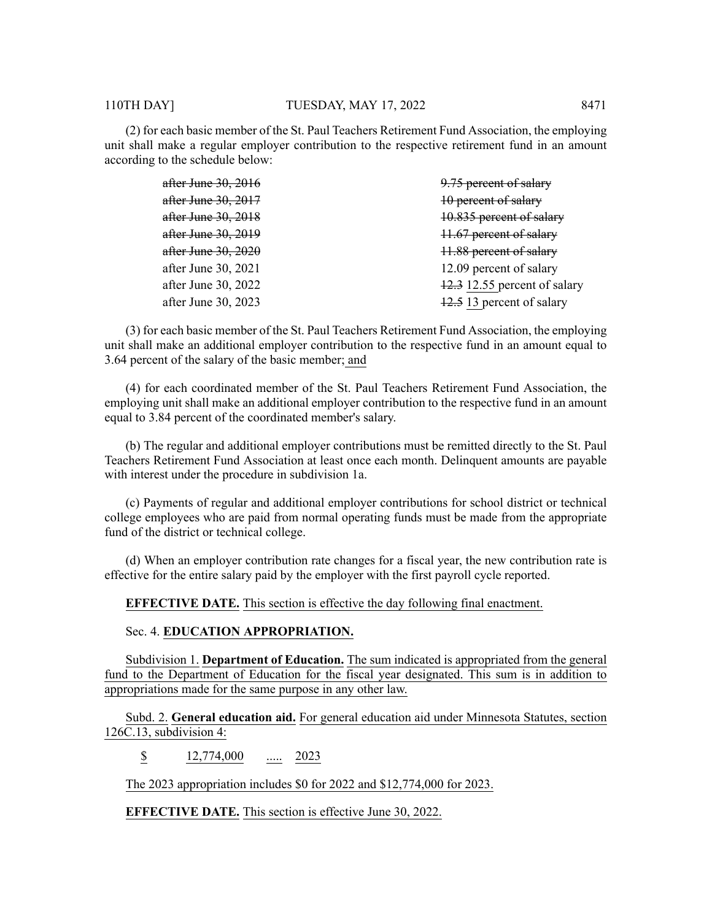(2) for each basic member of the St. Paul Teachers Retirement Fund Association, the employing unit shall make a regular employer contribution to the respective retirement fund in an amount according to the schedule below:

| after June 30, 2016            | 9.75 percent of salary       |
|--------------------------------|------------------------------|
| after June 30, 2017            | 10 percent of salary         |
| after June 30, 2018            | 10.835 percent of salary     |
| after June 30, 2019            | 11.67 percent of salary      |
| <del>after June 30, 2020</del> | 11.88 percent of salary      |
| after June 30, 2021            | 12.09 percent of salary      |
| after June 30, 2022            | 12.3 12.55 percent of salary |
| after June 30, 2023            | 12.5 13 percent of salary    |
|                                |                              |

(3) for each basic member of the St. Paul Teachers Retirement Fund Association, the employing unit shall make an additional employer contribution to the respective fund in an amount equal to 3.64 percent of the salary of the basic member; and

(4) for each coordinated member of the St. Paul Teachers Retirement Fund Association, the employing unit shall make an additional employer contribution to the respective fund in an amount equal to 3.84 percent of the coordinated member's salary.

(b) The regular and additional employer contributions must be remitted directly to the St. Paul Teachers Retirement Fund Association at least once each month. Delinquent amounts are payable with interest under the procedure in subdivision 1a.

(c) Payments of regular and additional employer contributions for school district or technical college employees who are paid from normal operating funds must be made from the appropriate fund of the district or technical college.

(d) When an employer contribution rate changes for a fiscal year, the new contribution rate is effective for the entire salary paid by the employer with the first payroll cycle reported.

**EFFECTIVE DATE.** This section is effective the day following final enactment.

#### Sec. 4. **EDUCATION APPROPRIATION.**

Subdivision 1. **Department of Education.** The sum indicated is appropriated from the general fund to the Department of Education for the fiscal year designated. This sum is in addition to appropriations made for the same purpose in any other law.

Subd. 2. **General education aid.** For general education aid under Minnesota Statutes, section 126C.13, subdivision 4:

\$ 12,774,000 ..... 2023

The 2023 appropriation includes \$0 for 2022 and \$12,774,000 for 2023.

**EFFECTIVE DATE.** This section is effective June 30, 2022.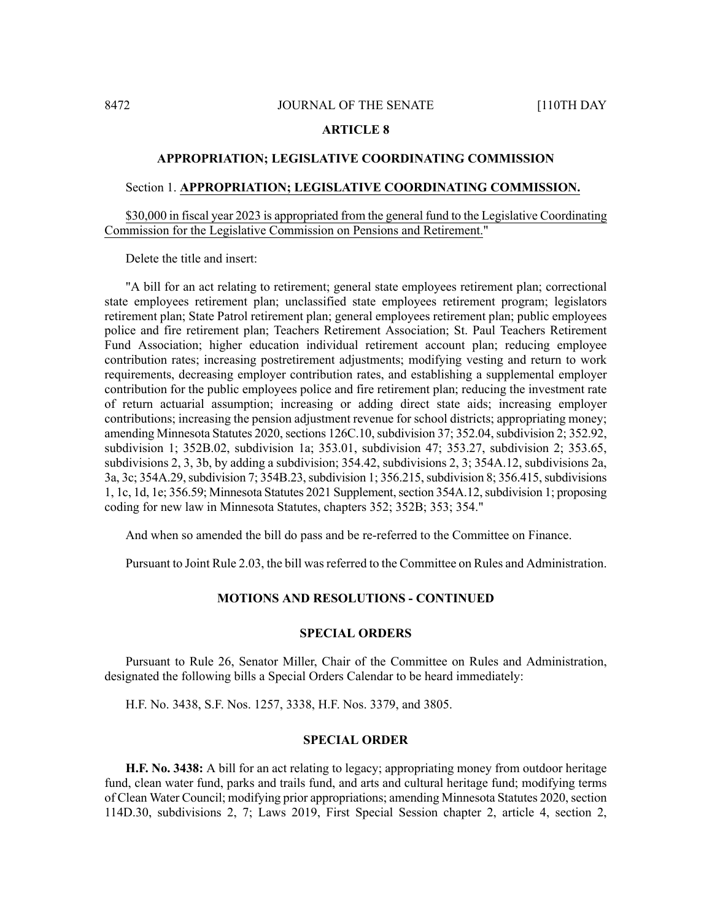#### **ARTICLE 8**

#### **APPROPRIATION; LEGISLATIVE COORDINATING COMMISSION**

#### Section 1. **APPROPRIATION; LEGISLATIVE COORDINATING COMMISSION.**

\$30,000 in fiscal year 2023 is appropriated from the general fund to the Legislative Coordinating Commission for the Legislative Commission on Pensions and Retirement."

Delete the title and insert:

"A bill for an act relating to retirement; general state employees retirement plan; correctional state employees retirement plan; unclassified state employees retirement program; legislators retirement plan; State Patrol retirement plan; general employees retirement plan; public employees police and fire retirement plan; Teachers Retirement Association; St. Paul Teachers Retirement Fund Association; higher education individual retirement account plan; reducing employee contribution rates; increasing postretirement adjustments; modifying vesting and return to work requirements, decreasing employer contribution rates, and establishing a supplemental employer contribution for the public employees police and fire retirement plan; reducing the investment rate of return actuarial assumption; increasing or adding direct state aids; increasing employer contributions; increasing the pension adjustment revenue for school districts; appropriating money; amending Minnesota Statutes 2020, sections 126C.10, subdivision 37; 352.04, subdivision 2; 352.92, subdivision 1; 352B.02, subdivision 1a; 353.01, subdivision 47; 353.27, subdivision 2; 353.65, subdivisions 2, 3, 3b, by adding a subdivision; 354.42, subdivisions 2, 3; 354A.12, subdivisions 2a, 3a, 3c; 354A.29, subdivision 7; 354B.23, subdivision 1; 356.215, subdivision 8; 356.415, subdivisions 1, 1c, 1d, 1e; 356.59; Minnesota Statutes 2021 Supplement, section 354A.12, subdivision 1; proposing coding for new law in Minnesota Statutes, chapters 352; 352B; 353; 354."

And when so amended the bill do pass and be re-referred to the Committee on Finance.

Pursuant to Joint Rule 2.03, the bill wasreferred to the Committee on Rules and Administration.

#### **MOTIONS AND RESOLUTIONS - CONTINUED**

### **SPECIAL ORDERS**

Pursuant to Rule 26, Senator Miller, Chair of the Committee on Rules and Administration, designated the following bills a Special Orders Calendar to be heard immediately:

H.F. No. 3438, S.F. Nos. 1257, 3338, H.F. Nos. 3379, and 3805.

#### **SPECIAL ORDER**

**H.F. No. 3438:** A bill for an act relating to legacy; appropriating money from outdoor heritage fund, clean water fund, parks and trails fund, and arts and cultural heritage fund; modifying terms of Clean Water Council; modifying prior appropriations; amending Minnesota Statutes 2020, section 114D.30, subdivisions 2, 7; Laws 2019, First Special Session chapter 2, article 4, section 2,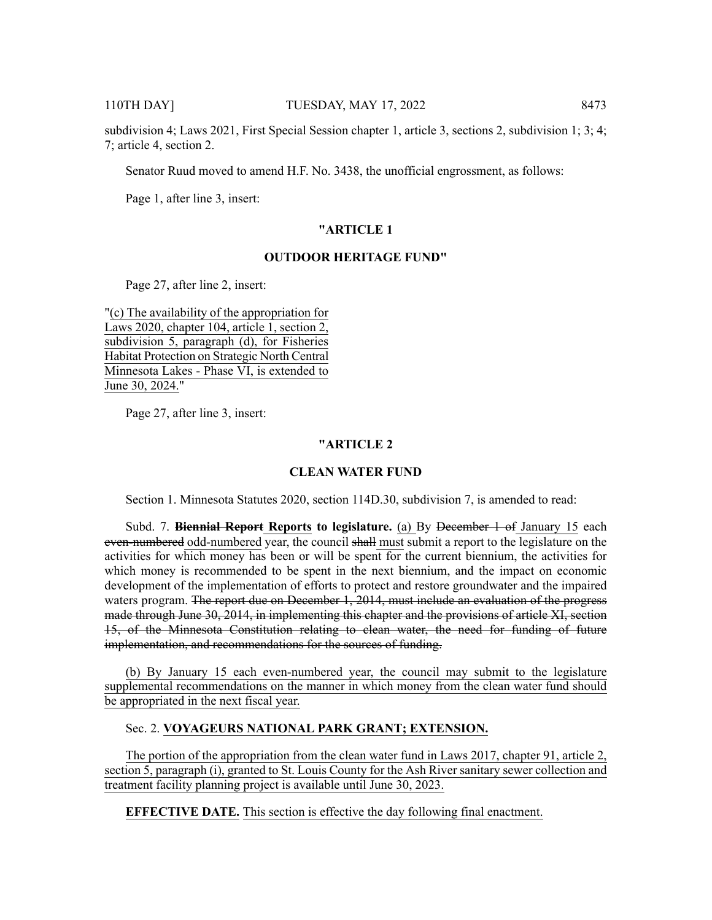subdivision 4; Laws 2021, First Special Session chapter 1, article 3, sections 2, subdivision 1; 3; 4; 7; article 4, section 2.

Senator Ruud moved to amend H.F. No. 3438, the unofficial engrossment, as follows:

Page 1, after line 3, insert:

### **"ARTICLE 1**

# **OUTDOOR HERITAGE FUND"**

Page 27, after line 2, insert:

"(c) The availability of the appropriation for Laws 2020, chapter 104, article 1, section 2, subdivision 5, paragraph (d), for Fisheries Habitat Protection on Strategic North Central Minnesota Lakes - Phase VI, is extended to June 30, 2024."

Page 27, after line 3, insert:

#### **"ARTICLE 2**

#### **CLEAN WATER FUND**

Section 1. Minnesota Statutes 2020, section 114D.30, subdivision 7, is amended to read:

Subd. 7. **Biennial Report Reports to legislature.** (a) By December 1 of January 15 each even-numbered odd-numbered year, the council shall must submit a report to the legislature on the activities for which money has been or will be spent for the current biennium, the activities for which money is recommended to be spent in the next biennium, and the impact on economic development of the implementation of efforts to protect and restore groundwater and the impaired waters program. <del>The report due on December 1, 2014, must include an evaluation of the progress</del> made through June 30, 2014, in implementing this chapter and the provisions of article XI, section 15, of the Minnesota Constitution relating to clean water, the need for funding of future implementation, and recommendations for the sources of funding.

(b) By January 15 each even-numbered year, the council may submit to the legislature supplemental recommendations on the manner in which money from the clean water fund should be appropriated in the next fiscal year.

# Sec. 2. **VOYAGEURS NATIONAL PARK GRANT; EXTENSION.**

The portion of the appropriation from the clean water fund in Laws 2017, chapter 91, article 2, section 5, paragraph (i), granted to St. Louis County for the Ash River sanitary sewer collection and treatment facility planning project is available until June 30, 2023.

**EFFECTIVE DATE.** This section is effective the day following final enactment.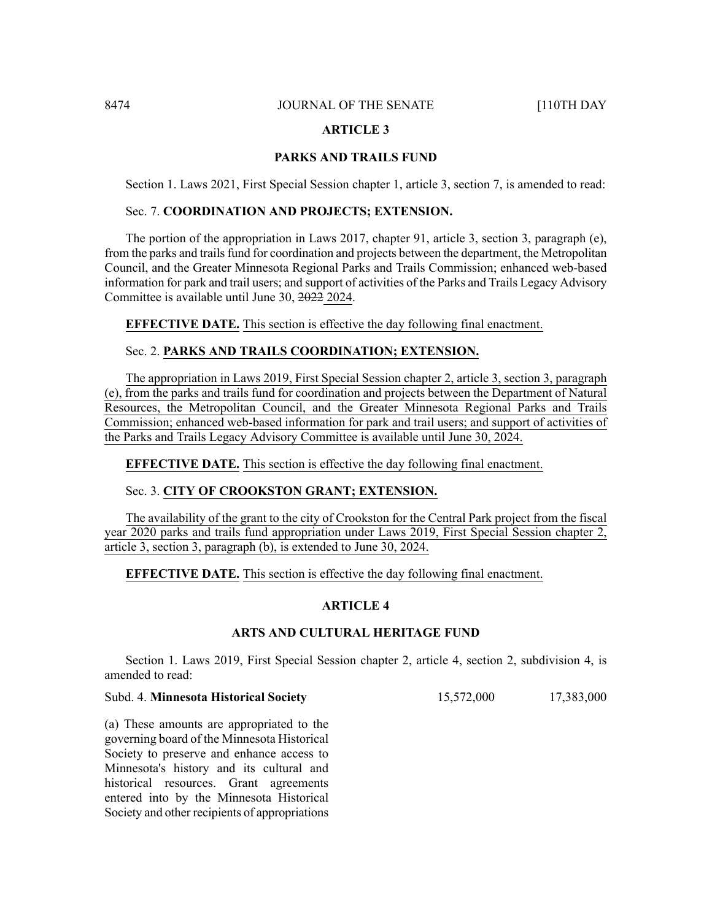#### **ARTICLE 3**

# **PARKS AND TRAILS FUND**

Section 1. Laws 2021, First Special Session chapter 1, article 3, section 7, is amended to read:

# Sec. 7. **COORDINATION AND PROJECTS; EXTENSION.**

The portion of the appropriation in Laws 2017, chapter 91, article 3, section 3, paragraph (e), from the parks and trails fund for coordination and projects between the department, the Metropolitan Council, and the Greater Minnesota Regional Parks and Trails Commission; enhanced web-based information for park and trail users; and support of activities of the Parks and Trails Legacy Advisory Committee is available until June 30, 2022 2024.

**EFFECTIVE DATE.** This section is effective the day following final enactment.

# Sec. 2. **PARKS AND TRAILS COORDINATION; EXTENSION.**

The appropriation in Laws 2019, First Special Session chapter 2, article 3, section 3, paragraph (e), from the parks and trails fund for coordination and projects between the Department of Natural Resources, the Metropolitan Council, and the Greater Minnesota Regional Parks and Trails Commission; enhanced web-based information for park and trail users; and support of activities of the Parks and Trails Legacy Advisory Committee is available until June 30, 2024.

**EFFECTIVE DATE.** This section is effective the day following final enactment.

### Sec. 3. **CITY OF CROOKSTON GRANT; EXTENSION.**

The availability of the grant to the city of Crookston for the Central Park project from the fiscal year 2020 parks and trails fund appropriation under Laws 2019, First Special Session chapter 2, article 3, section 3, paragraph (b), is extended to June 30, 2024.

# **EFFECTIVE DATE.** This section is effective the day following final enactment.

#### **ARTICLE 4**

# **ARTS AND CULTURAL HERITAGE FUND**

Section 1. Laws 2019, First Special Session chapter 2, article 4, section 2, subdivision 4, is amended to read:

# Subd. 4. **Minnesota Historical Society** 15,572,000 17,383,000

(a) These amounts are appropriated to the governing board of the Minnesota Historical Society to preserve and enhance access to Minnesota's history and its cultural and historical resources. Grant agreements entered into by the Minnesota Historical Society and other recipients of appropriations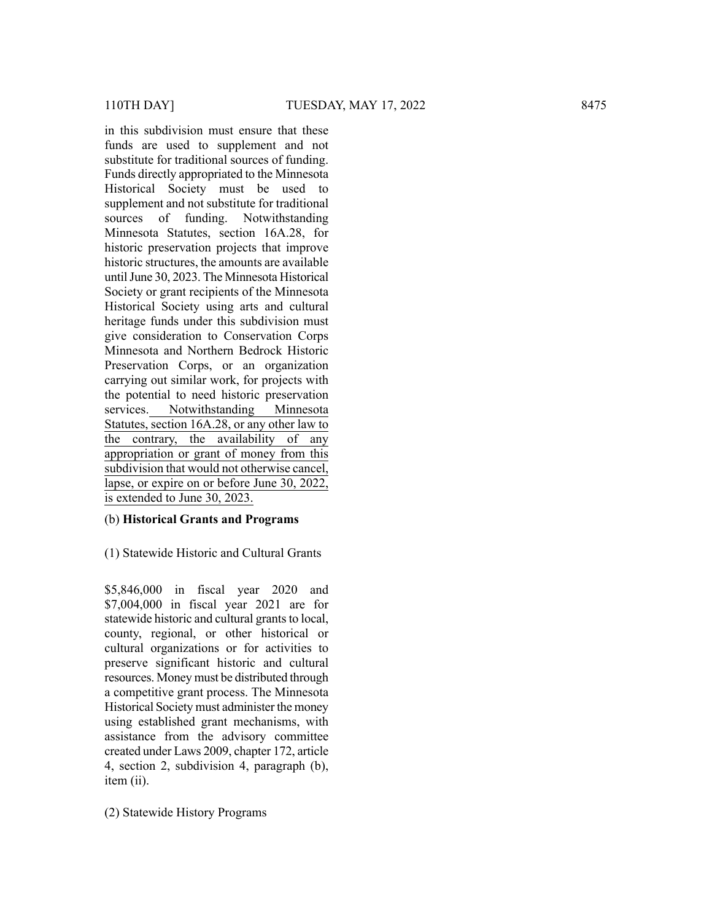in this subdivision must ensure that these funds are used to supplement and not substitute for traditional sources of funding. Funds directly appropriated to the Minnesota Historical Society must be used to supplement and not substitute for traditional sources of funding. Notwithstanding Minnesota Statutes, section 16A.28, for historic preservation projects that improve historic structures, the amounts are available untilJune 30, 2023. The Minnesota Historical Society or grant recipients of the Minnesota Historical Society using arts and cultural heritage funds under this subdivision must give consideration to Conservation Corps Minnesota and Northern Bedrock Historic Preservation Corps, or an organization carrying out similar work, for projects with the potential to need historic preservation services. Notwithstanding Minnesota Statutes, section 16A.28, or any other law to the contrary, the availability of any appropriation or grant of money from this subdivision that would not otherwise cancel, lapse, or expire on or before June 30, 2022, is extended to June 30, 2023. (1011 DAY)<br>
110TH DAY)<br>
110TH DAY<br>
110TH DAY<br>
110TH DAY<br>
in this subdivision must ensure that these<br>
functions are used to supplemented the Mometenta theoretical<br>
distortical Secrity means the subset of multiple<br>
Historic

# (b) **Historical Grants and Programs**

(1) Statewide Historic and Cultural Grants

\$5,846,000 in fiscal year 2020 and \$7,004,000 in fiscal year 2021 are for statewide historic and cultural grants to local, county, regional, or other historical or cultural organizations or for activities to preserve significant historic and cultural resources. Money must be distributed through a competitive grant process. The Minnesota Historical Society must administer the money using established grant mechanisms, with assistance from the advisory committee created under Laws 2009, chapter 172, article 4, section 2, subdivision 4, paragraph (b), item (ii).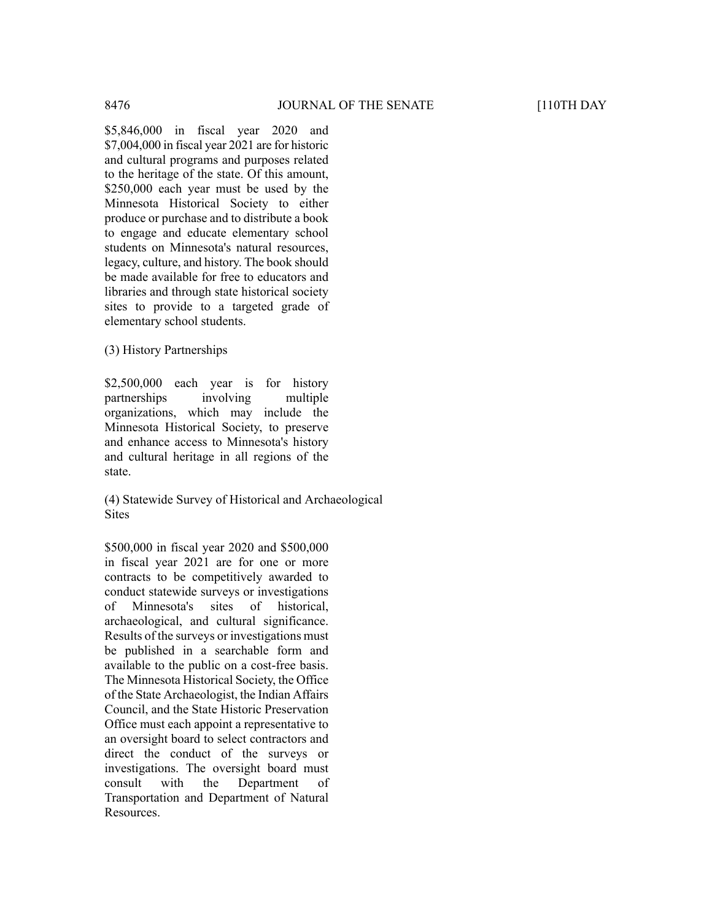\$5,846,000 in fiscal year 2020 and \$7,004,000 in fiscal year 2021 are for historic and cultural programs and purposes related to the heritage of the state. Of this amount, \$250,000 each year must be used by the Minnesota Historical Society to either produce or purchase and to distribute a book to engage and educate elementary school students on Minnesota's natural resources, legacy, culture, and history. The book should be made available for free to educators and libraries and through state historical society sites to provide to a targeted grade of elementary school students.

(3) History Partnerships

\$2,500,000 each year is for history partnerships involving multiple organizations, which may include the Minnesota Historical Society, to preserve and enhance access to Minnesota's history and cultural heritage in all regions of the state.

(4) Statewide Survey of Historical and Archaeological **Sites** 

\$500,000 in fiscal year 2020 and \$500,000 in fiscal year 2021 are for one or more contracts to be competitively awarded to conduct statewide surveys or investigations of Minnesota's sites of historical, archaeological, and cultural significance. Results of the surveys or investigations must be published in a searchable form and available to the public on a cost-free basis. The Minnesota Historical Society, the Office of the State Archaeologist, the Indian Affairs Council, and the State Historic Preservation Office must each appoint a representative to an oversight board to select contractors and direct the conduct of the surveys or investigations. The oversight board must consult with the Department of Transportation and Department of Natural Resources.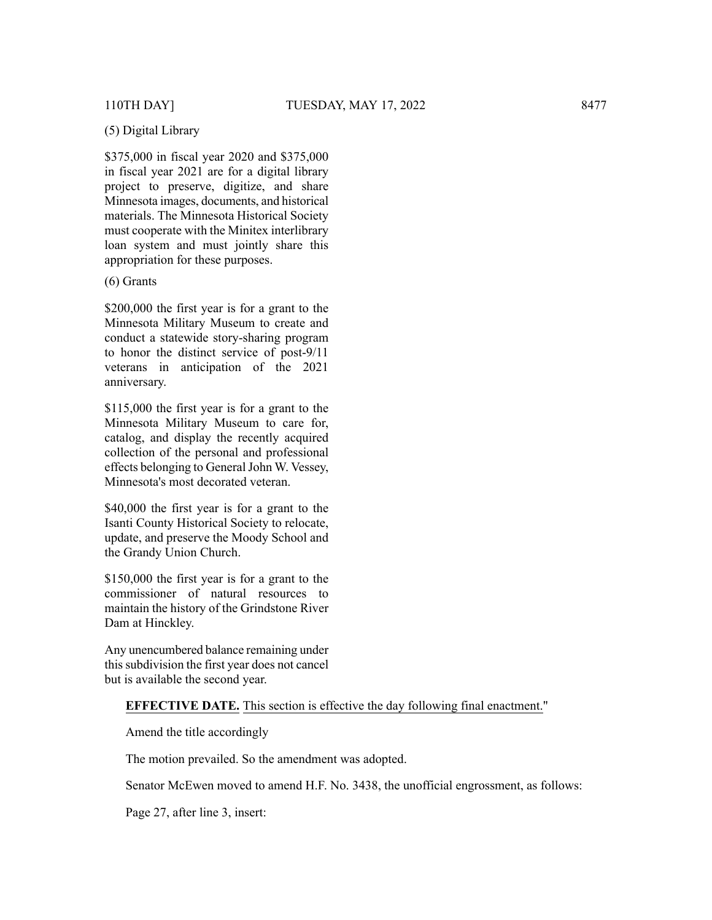# (5) Digital Library

\$375,000 in fiscal year 2020 and \$375,000 in fiscal year 2021 are for a digital library project to preserve, digitize, and share Minnesota images, documents, and historical materials. The Minnesota Historical Society must cooperate with the Minitex interlibrary loan system and must jointly share this appropriation for these purposes.

# (6) Grants

\$200,000 the first year is for a grant to the Minnesota Military Museum to create and conduct a statewide story-sharing program to honor the distinct service of post-9/11 veterans in anticipation of the 2021 anniversary.

\$115,000 the first year is for a grant to the Minnesota Military Museum to care for, catalog, and display the recently acquired collection of the personal and professional effects belonging to General John W. Vessey, Minnesota's most decorated veteran.

\$40,000 the first year is for a grant to the Isanti County Historical Society to relocate, update, and preserve the Moody School and the Grandy Union Church.

\$150,000 the first year is for a grant to the commissioner of natural resources to maintain the history of the Grindstone River Dam at Hinckley.

Any unencumbered balance remaining under this subdivision the first year does not cancel but is available the second year.

# **EFFECTIVE DATE.** This section is effective the day following final enactment."

Amend the title accordingly

The motion prevailed. So the amendment was adopted.

Senator McEwen moved to amend H.F. No. 3438, the unofficial engrossment, as follows:

Page 27, after line 3, insert: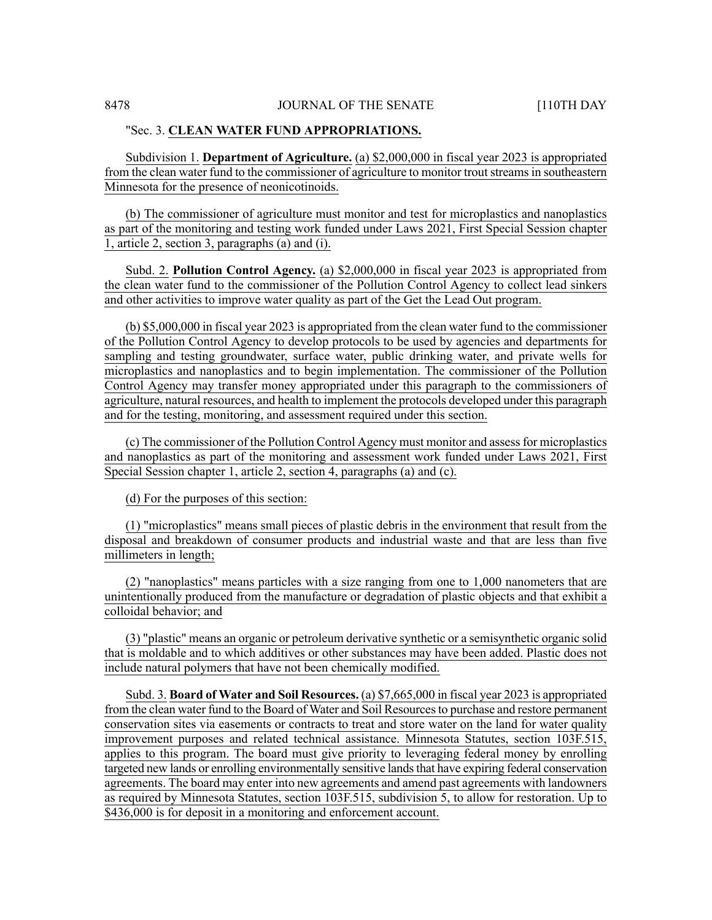#### "Sec. 3. **CLEAN WATER FUND APPROPRIATIONS.**

Subdivision 1. **Department of Agriculture.** (a) \$2,000,000 in fiscal year 2023 is appropriated from the clean water fund to the commissioner of agriculture to monitor trout streams in southeastern Minnesota for the presence of neonicotinoids.

(b) The commissioner of agriculture must monitor and test for microplastics and nanoplastics as part of the monitoring and testing work funded under Laws 2021, First Special Session chapter 1, article 2, section 3, paragraphs (a) and (i).

Subd. 2. **Pollution Control Agency.** (a) \$2,000,000 in fiscal year 2023 is appropriated from the clean water fund to the commissioner of the Pollution Control Agency to collect lead sinkers and other activities to improve water quality as part of the Get the Lead Out program.

(b) \$5,000,000 in fiscal year 2023 is appropriated from the clean water fund to the commissioner of the Pollution Control Agency to develop protocols to be used by agencies and departments for sampling and testing groundwater, surface water, public drinking water, and private wells for microplastics and nanoplastics and to begin implementation. The commissioner of the Pollution Control Agency may transfer money appropriated under this paragraph to the commissioners of agriculture, natural resources, and health to implement the protocols developed under this paragraph and for the testing, monitoring, and assessment required under this section.

(c) The commissioner of the Pollution Control Agency must monitor and assessfor microplastics and nanoplastics as part of the monitoring and assessment work funded under Laws 2021, First Special Session chapter 1, article 2, section 4, paragraphs (a) and (c).

(d) For the purposes of this section:

(1) "microplastics" means small pieces of plastic debris in the environment that result from the disposal and breakdown of consumer products and industrial waste and that are less than five millimeters in length;

(2) "nanoplastics" means particles with a size ranging from one to 1,000 nanometers that are unintentionally produced from the manufacture or degradation of plastic objects and that exhibit a colloidal behavior; and

(3) "plastic" means an organic or petroleum derivative synthetic or a semisynthetic organic solid that is moldable and to which additives or other substances may have been added. Plastic does not include natural polymers that have not been chemically modified.

Subd. 3. **Board of Water and Soil Resources.** (a) \$7,665,000 in fiscal year 2023 is appropriated from the clean water fund to the Board of Water and Soil Resourcesto purchase and restore permanent conservation sites via easements or contracts to treat and store water on the land for water quality improvement purposes and related technical assistance. Minnesota Statutes, section 103F.515, applies to this program. The board must give priority to leveraging federal money by enrolling targeted new lands or enrolling environmentally sensitive landsthat have expiring federal conservation agreements. The board may enter into new agreements and amend past agreements with landowners as required by Minnesota Statutes, section 103F.515, subdivision 5, to allow for restoration. Up to \$436,000 is for deposit in a monitoring and enforcement account.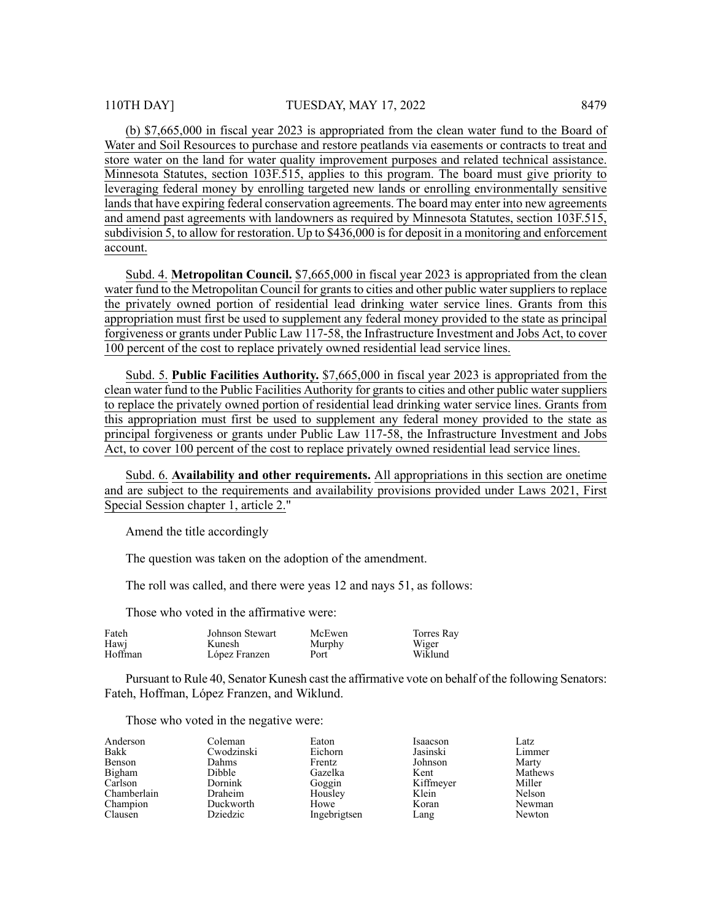(b) \$7,665,000 in fiscal year 2023 is appropriated from the clean water fund to the Board of Water and Soil Resources to purchase and restore peatlands via easements or contracts to treat and store water on the land for water quality improvement purposes and related technical assistance. Minnesota Statutes, section 103F.515, applies to this program. The board must give priority to leveraging federal money by enrolling targeted new lands or enrolling environmentally sensitive lands that have expiring federal conservation agreements. The board may enter into new agreements and amend past agreements with landowners as required by Minnesota Statutes, section 103F.515, subdivision 5, to allow for restoration. Up to  $$436,000$  is for deposit in a monitoring and enforcement account.

Subd. 4. **Metropolitan Council.** \$7,665,000 in fiscal year 2023 is appropriated from the clean water fund to the Metropolitan Council for grants to cities and other public water suppliers to replace the privately owned portion of residential lead drinking water service lines. Grants from this appropriation must first be used to supplement any federal money provided to the state as principal forgiveness or grants under Public Law 117-58, the Infrastructure Investment and Jobs Act, to cover 100 percent of the cost to replace privately owned residential lead service lines.

Subd. 5. **Public Facilities Authority.** \$7,665,000 in fiscal year 2023 is appropriated from the clean water fund to the Public Facilities Authority for grants to cities and other public water suppliers to replace the privately owned portion of residential lead drinking water service lines. Grants from this appropriation must first be used to supplement any federal money provided to the state as principal forgiveness or grants under Public Law 117-58, the Infrastructure Investment and Jobs Act, to cover 100 percent of the cost to replace privately owned residential lead service lines.

Subd. 6. **Availability and other requirements.** All appropriations in this section are onetime and are subject to the requirements and availability provisions provided under Laws 2021, First Special Session chapter 1, article 2."

Amend the title accordingly

The question was taken on the adoption of the amendment.

The roll was called, and there were yeas 12 and nays 51, as follows:

Those who voted in the affirmative were:

| Fateh   | Johnson Stewart | McEwen | Torres Rav |
|---------|-----------------|--------|------------|
| Hawi    | Kunesh          | Murphy | Wiger      |
| Hoffman | López Franzen   | Port   | Wiklund    |

Pursuant to Rule 40, Senator Kunesh cast the affirmative vote on behalf of the following Senators: Fateh, Hoffman, López Franzen, and Wiklund.

Those who voted in the negative were:

| Anderson    | Coleman    | Eaton        | Isaacson  | Latz           |
|-------------|------------|--------------|-----------|----------------|
| Bakk        | Cwodzinski | Eichorn      | Jasinski  | Limmer         |
| Benson      | Dahms      | Frentz       | Johnson   | Marty          |
| Bigham      | Dibble     | Gazelka      | Kent      | <b>Mathews</b> |
| Carlson     | Dornink    | Goggin       | Kiffmeyer | Miller         |
| Chamberlain | Draheim    | Housley      | Klein     | Nelson         |
| Champion    | Duckworth  | Howe         | Koran     | Newman         |
| Clausen     | Dziedzic   | Ingebrigtsen | Lang      | Newton         |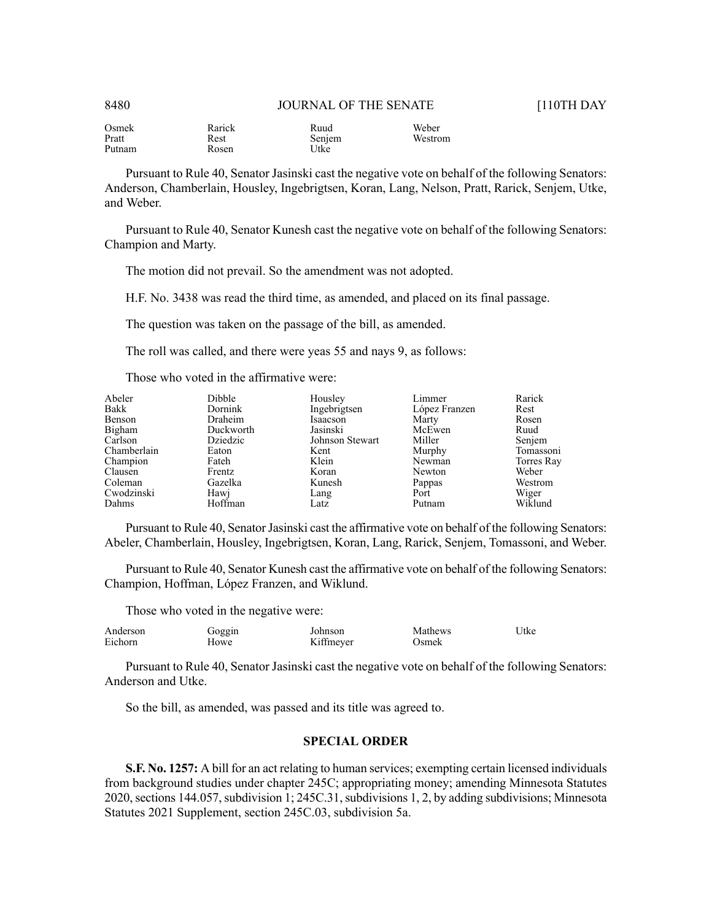| Osmek  | Rarick | Ruud   | Weber   |
|--------|--------|--------|---------|
| Pratt  | Rest   | Senjem | Westrom |
| Putnam | Rosen  | Utke   |         |

Pursuant to Rule 40, Senator Jasinski cast the negative vote on behalf of the following Senators: Anderson, Chamberlain, Housley, Ingebrigtsen, Koran, Lang, Nelson, Pratt, Rarick, Senjem, Utke, and Weber.

Pursuant to Rule 40, Senator Kunesh cast the negative vote on behalf of the following Senators: Champion and Marty.

The motion did not prevail. So the amendment was not adopted.

H.F. No. 3438 was read the third time, as amended, and placed on its final passage.

The question was taken on the passage of the bill, as amended.

The roll was called, and there were yeas 55 and nays 9, as follows:

Those who voted in the affirmative were:

| Abeler      | <b>Dibble</b> | Housley         | Limmer        | Rarick     |
|-------------|---------------|-----------------|---------------|------------|
| Bakk        | Dornink       | Ingebrigtsen    | López Franzen | Rest       |
| Benson      | Draheim       | Isaacson        | Marty         | Rosen      |
| Bigham      | Duckworth     | Jasinski        | McEwen        | Ruud       |
| Carlson     | Dziedzic      | Johnson Stewart | Miller        | Senjem     |
| Chamberlain | Eaton         | Kent            | Murphy        | Tomassoni  |
| Champion    | Fateh         | Klein           | Newman        | Torres Ray |
| Clausen     | Frentz        | Koran           | Newton        | Weber      |
| Coleman     | Gazelka       | Kunesh          | Pappas        | Westrom    |
| Cwodzinski  | Hawj          | Lang            | Port          | Wiger      |
| Dahms       | Hoffman       | Latz            | Putnam        | Wiklund    |

Pursuant to Rule 40, Senator Jasinski cast the affirmative vote on behalf of the following Senators: Abeler, Chamberlain, Housley, Ingebrigtsen, Koran, Lang, Rarick, Senjem, Tomassoni, and Weber.

Pursuant to Rule 40, Senator Kunesh cast the affirmative vote on behalf of the following Senators: Champion, Hoffman, López Franzen, and Wiklund.

Those who voted in the negative were:

| Anderson | Goggin | Johnson   | Mathews | Utke |
|----------|--------|-----------|---------|------|
| Eichorn  | Howe   | Kiffmeyer | Osmek   |      |
|          |        |           |         |      |

Pursuant to Rule 40, Senator Jasinski cast the negative vote on behalf of the following Senators: Anderson and Utke.

So the bill, as amended, was passed and its title was agreed to.

# **SPECIAL ORDER**

**S.F. No. 1257:** A bill for an act relating to human services; exempting certain licensed individuals from background studies under chapter 245C; appropriating money; amending Minnesota Statutes 2020, sections 144.057, subdivision 1; 245C.31, subdivisions 1, 2, by adding subdivisions; Minnesota Statutes 2021 Supplement, section 245C.03, subdivision 5a.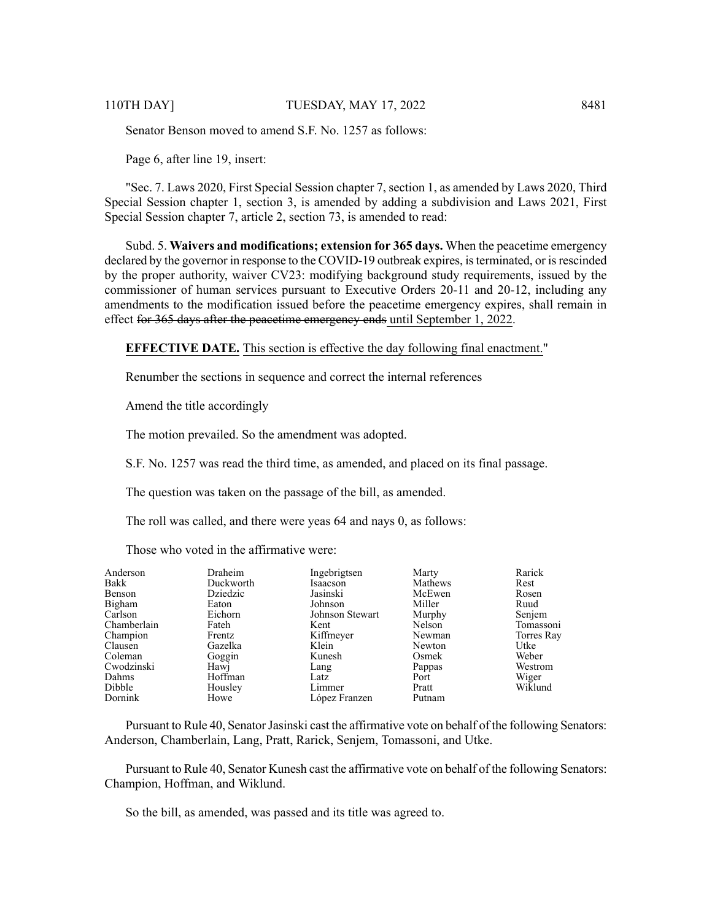Senator Benson moved to amend S.F. No. 1257 as follows:

Page 6, after line 19, insert:

"Sec. 7. Laws 2020, First Special Session chapter 7, section 1, as amended by Laws 2020, Third Special Session chapter 1, section 3, is amended by adding a subdivision and Laws 2021, First Special Session chapter 7, article 2, section 73, is amended to read:

Subd. 5. **Waivers and modifications; extension for 365 days.** When the peacetime emergency declared by the governor in response to the COVID-19 outbreak expires, is terminated, or is rescinded by the proper authority, waiver CV23: modifying background study requirements, issued by the commissioner of human services pursuant to Executive Orders 20-11 and 20-12, including any amendments to the modification issued before the peacetime emergency expires, shall remain in effect for 365 days after the peacetime emergency ends until September 1, 2022.

**EFFECTIVE DATE.** This section is effective the day following final enactment."

Renumber the sections in sequence and correct the internal references

Amend the title accordingly

The motion prevailed. So the amendment was adopted.

S.F. No. 1257 was read the third time, as amended, and placed on its final passage.

The question was taken on the passage of the bill, as amended.

The roll was called, and there were yeas 64 and nays 0, as follows:

Those who voted in the affirmative were:

| Anderson    | Draheim   | Ingebrigtsen    | Marty   | Rarick     |
|-------------|-----------|-----------------|---------|------------|
| Bakk        | Duckworth | Isaacson        | Mathews | Rest       |
| Benson      | Dziedzic  | Jasinski        | McEwen  | Rosen      |
| Bigham      | Eaton     | Johnson         | Miller  | Ruud       |
| Carlson     | Eichorn   | Johnson Stewart | Murphy  | Senjem     |
| Chamberlain | Fateh     | Kent            | Nelson  | Tomassoni  |
| Champion    | Frentz    | Kiffmeyer       | Newman  | Torres Ray |
| Clausen     | Gazelka   | Klein           | Newton  | Utke       |
| Coleman     | Goggin    | Kunesh          | Osmek   | Weber      |
| Cwodzinski  | Hawi      | Lang            | Pappas  | Westrom    |
| Dahms       | Hoffman   | Latz            | Port    | Wiger      |
| Dibble      | Housley   | Limmer          | Pratt   | Wiklund    |
| Dornink     | Howe      | López Franzen   | Putnam  |            |

Pursuant to Rule 40, Senator Jasinski cast the affirmative vote on behalf of the following Senators: Anderson, Chamberlain, Lang, Pratt, Rarick, Senjem, Tomassoni, and Utke.

Pursuant to Rule 40, Senator Kunesh cast the affirmative vote on behalf of the following Senators: Champion, Hoffman, and Wiklund.

So the bill, as amended, was passed and its title was agreed to.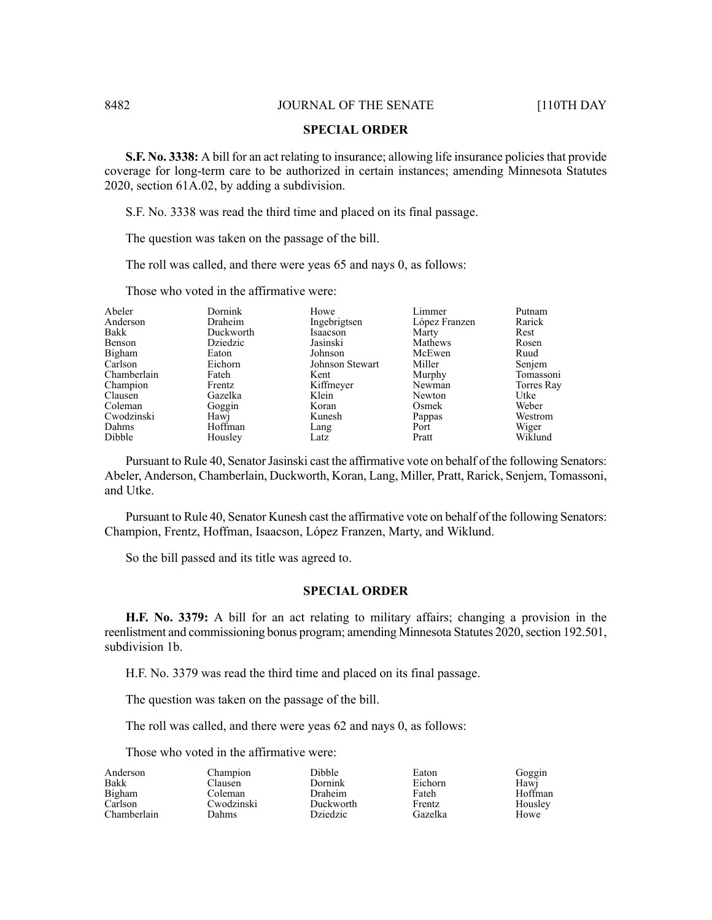#### **SPECIAL ORDER**

**S.F. No. 3338:** A bill for an act relating to insurance; allowing life insurance policiesthat provide coverage for long-term care to be authorized in certain instances; amending Minnesota Statutes 2020, section 61A.02, by adding a subdivision.

S.F. No. 3338 was read the third time and placed on its final passage.

The question was taken on the passage of the bill.

The roll was called, and there were yeas 65 and nays 0, as follows:

Those who voted in the affirmative were:

| Abeler      | Dornink   | Howe            | Limmer        | Putnam     |
|-------------|-----------|-----------------|---------------|------------|
| Anderson    | Draheim   | Ingebrigtsen    | López Franzen | Rarick     |
| Bakk        | Duckworth | Isaacson        | Marty         | Rest       |
| Benson      | Dziedzic  | Jasinski        | Mathews       | Rosen      |
| Bigham      | Eaton     | Johnson         | McEwen        | Ruud       |
| Carlson     | Eichorn   | Johnson Stewart | Miller        | Senjem     |
| Chamberlain | Fateh     | Kent            | Murphy        | Tomassoni  |
| Champion    | Frentz    | Kiffmeyer       | Newman        | Torres Ray |
| Clausen     | Gazelka   | Klein           | Newton        | Utke       |
| Coleman     | Goggin    | Koran           | Osmek         | Weber      |
| Cwodzinski  | Hawj      | Kunesh          | Pappas        | Westrom    |
| Dahms       | Hoffman   | Lang            | Port          | Wiger      |
| Dibble      | Housley   | Latz            | Pratt         | Wiklund    |

Pursuant to Rule 40, Senator Jasinski cast the affirmative vote on behalf of the following Senators: Abeler, Anderson, Chamberlain, Duckworth, Koran, Lang, Miller, Pratt, Rarick, Senjem, Tomassoni, and Utke.

Pursuant to Rule 40, Senator Kunesh cast the affirmative vote on behalf of the following Senators: Champion, Frentz, Hoffman, Isaacson, López Franzen, Marty, and Wiklund.

So the bill passed and its title was agreed to.

# **SPECIAL ORDER**

**H.F. No. 3379:** A bill for an act relating to military affairs; changing a provision in the reenlistment and commissioning bonus program; amending Minnesota Statutes 2020, section 192.501, subdivision 1b.

H.F. No. 3379 was read the third time and placed on its final passage.

The question was taken on the passage of the bill.

The roll was called, and there were yeas 62 and nays 0, as follows:

Dibble

Those who voted in the affirmative were:

| Anderson    |  |
|-------------|--|
| Bakk        |  |
| Bigham      |  |
| Carlson     |  |
| Chamberlain |  |

Champion Clausen Coleman Cwodzinski Dahms

Dornink Draheim Duckworth Dziedzic

Eaton Eichorn Fateh Frentz Gazelka

Goggin Hawj Hoffman Housley Howe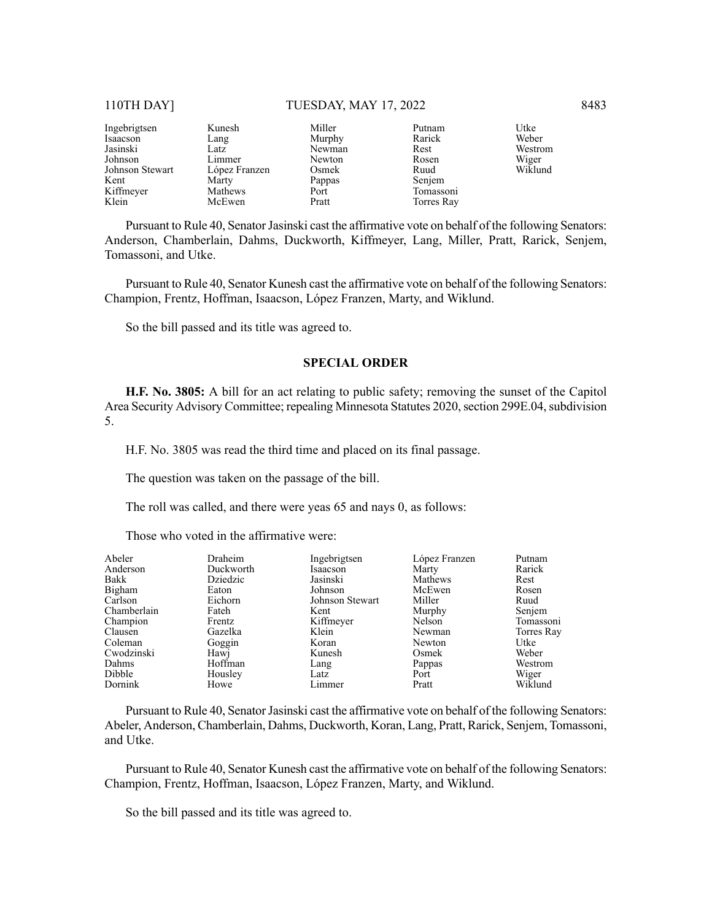#### 110TH DAY] TUESDAY, MAY 17, 2022 8483

Ingebrigtsen Isaacson Jasinski Johnson Johnson Stewart Kent Kiffmeyer Klein Kunesh Lang Latz Limmer López Franzen **Marty** Mathews McEwen Miller Murphy Newman Newton Osmek Pappas Port Pratt Putnam Rarick Rest Rosen Ruud Senjem Tomassoni Torres Ray

Utke Weber Westrom Wiger Wiklund

Pursuant to Rule 40, Senator Jasinski cast the affirmative vote on behalf of the following Senators: Anderson, Chamberlain, Dahms, Duckworth, Kiffmeyer, Lang, Miller, Pratt, Rarick, Senjem, Tomassoni, and Utke.

Pursuant to Rule 40, Senator Kunesh cast the affirmative vote on behalf of the following Senators: Champion, Frentz, Hoffman, Isaacson, López Franzen, Marty, and Wiklund.

So the bill passed and its title was agreed to.

#### **SPECIAL ORDER**

**H.F. No. 3805:** A bill for an act relating to public safety; removing the sunset of the Capitol Area Security Advisory Committee; repealing Minnesota Statutes 2020, section 299E.04, subdivision 5.

H.F. No. 3805 was read the third time and placed on its final passage.

The question was taken on the passage of the bill.

The roll was called, and there were yeas 65 and nays 0, as follows:

Those who voted in the affirmative were:

| Abeler      | Draheim   | Ingebrigtsen    | López Franzen | Putnam     |
|-------------|-----------|-----------------|---------------|------------|
| Anderson    | Duckworth | Isaacson        | Marty         | Rarick     |
| Bakk        | Dziedzic  | Jasinski        | Mathews       | Rest       |
| Bigham      | Eaton     | Johnson         | McEwen        | Rosen      |
| Carlson     | Eichorn   | Johnson Stewart | Miller        | Ruud       |
| Chamberlain | Fateh     | Kent            | Murphy        | Senjem     |
| Champion    | Frentz    | Kiffmeyer       | Nelson        | Tomassoni  |
| Clausen     | Gazelka   | Klein           | Newman        | Torres Ray |
| Coleman     | Goggin    | Koran           | Newton        | Utke       |
| Cwodzinski  | Hawj      | Kunesh          | Osmek         | Weber      |
| Dahms       | Hoffman   | Lang            | Pappas        | Westrom    |
| Dibble      | Housley   | Latz            | Port          | Wiger      |
| Dornink     | Howe      | Limmer          | Pratt         | Wiklund    |

Pursuant to Rule 40, Senator Jasinski cast the affirmative vote on behalf of the following Senators: Abeler, Anderson, Chamberlain, Dahms, Duckworth, Koran, Lang, Pratt, Rarick, Senjem, Tomassoni, and Utke.

Pursuant to Rule 40, Senator Kunesh cast the affirmative vote on behalf of the following Senators: Champion, Frentz, Hoffman, Isaacson, López Franzen, Marty, and Wiklund.

So the bill passed and its title was agreed to.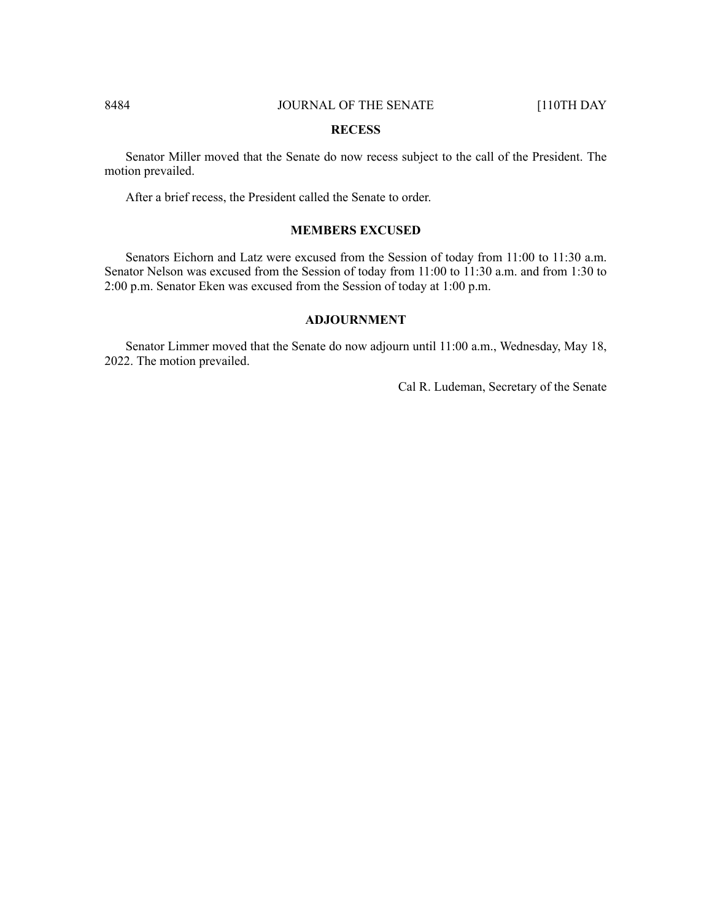#### **RECESS**

Senator Miller moved that the Senate do now recess subject to the call of the President. The motion prevailed.

After a brief recess, the President called the Senate to order.

# **MEMBERS EXCUSED**

Senators Eichorn and Latz were excused from the Session of today from 11:00 to 11:30 a.m. Senator Nelson was excused from the Session of today from 11:00 to 11:30 a.m. and from 1:30 to 2:00 p.m. Senator Eken was excused from the Session of today at 1:00 p.m.

# **ADJOURNMENT**

Senator Limmer moved that the Senate do now adjourn until 11:00 a.m., Wednesday, May 18, 2022. The motion prevailed.

Cal R. Ludeman, Secretary of the Senate